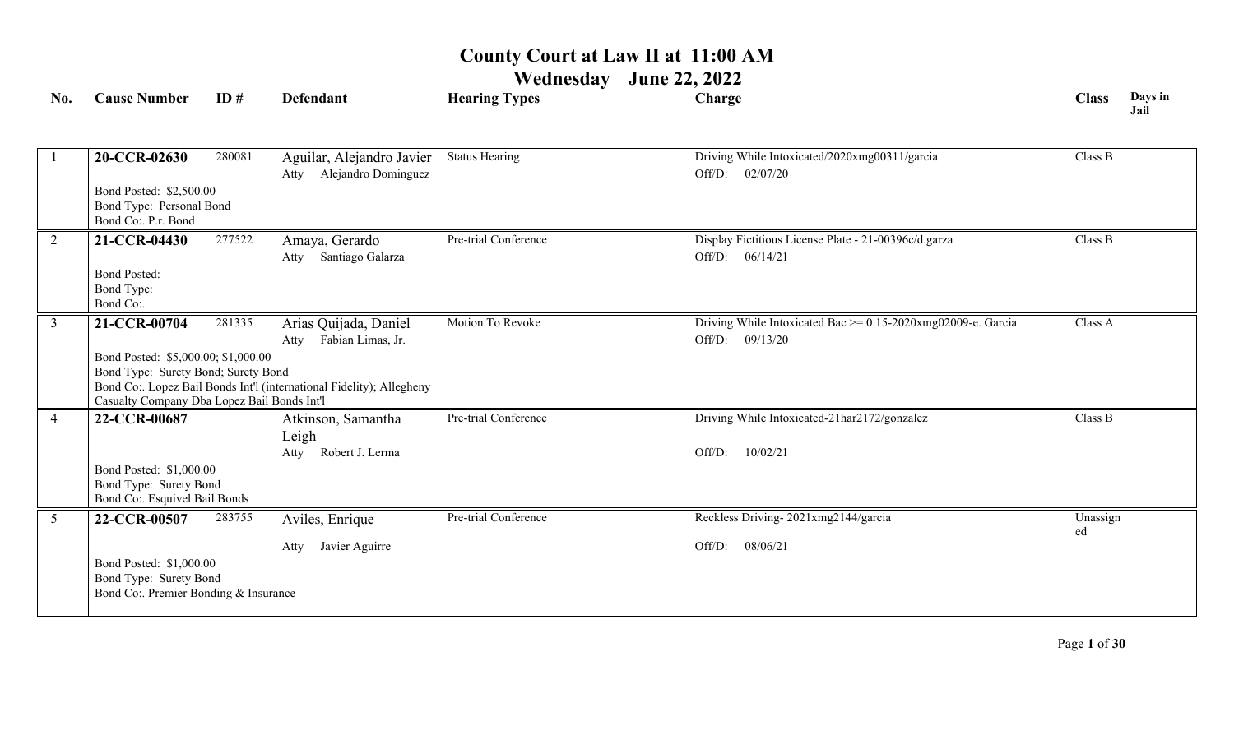| No.             | <b>Cause Number</b>                                     | ID#    | <b>Defendant</b>                                                     | <b>Hearing Types</b>  | Charge                                                       | <b>Class</b>   | Days in<br>Jail |
|-----------------|---------------------------------------------------------|--------|----------------------------------------------------------------------|-----------------------|--------------------------------------------------------------|----------------|-----------------|
|                 |                                                         |        |                                                                      |                       |                                                              |                |                 |
| $\overline{1}$  | 20-CCR-02630                                            | 280081 | Aguilar, Alejandro Javier                                            | <b>Status Hearing</b> | Driving While Intoxicated/2020xmg00311/garcia                | Class B        |                 |
|                 |                                                         |        | Alejandro Dominguez<br>Atty                                          |                       | 02/07/20<br>Off/D:                                           |                |                 |
|                 | Bond Posted: \$2,500.00                                 |        |                                                                      |                       |                                                              |                |                 |
|                 | Bond Type: Personal Bond<br>Bond Co:. P.r. Bond         |        |                                                                      |                       |                                                              |                |                 |
| 2               | 21-CCR-04430                                            | 277522 | Amaya, Gerardo                                                       | Pre-trial Conference  | Display Fictitious License Plate - 21-00396c/d.garza         | Class B        |                 |
|                 |                                                         |        | Santiago Galarza<br>Atty                                             |                       | 06/14/21<br>Off/D:                                           |                |                 |
|                 | <b>Bond Posted:</b>                                     |        |                                                                      |                       |                                                              |                |                 |
|                 | Bond Type:                                              |        |                                                                      |                       |                                                              |                |                 |
|                 | Bond Co:.                                               |        |                                                                      |                       |                                                              |                |                 |
| $\overline{3}$  | 21-CCR-00704                                            | 281335 | Arias Quijada, Daniel                                                | Motion To Revoke      | Driving While Intoxicated Bac >= 0.15-2020xmg02009-e. Garcia | Class A        |                 |
|                 |                                                         |        | Fabian Limas, Jr.<br>Atty                                            |                       | 09/13/20<br>Off/D:                                           |                |                 |
|                 | Bond Posted: \$5,000.00; \$1,000.00                     |        |                                                                      |                       |                                                              |                |                 |
|                 | Bond Type: Surety Bond; Surety Bond                     |        | Bond Co:. Lopez Bail Bonds Int'l (international Fidelity); Allegheny |                       |                                                              |                |                 |
|                 | Casualty Company Dba Lopez Bail Bonds Int'l             |        |                                                                      |                       |                                                              |                |                 |
| $\overline{4}$  | 22-CCR-00687                                            |        | Atkinson, Samantha                                                   | Pre-trial Conference  | Driving While Intoxicated-21har2172/gonzalez                 | Class B        |                 |
|                 |                                                         |        | Leigh                                                                |                       |                                                              |                |                 |
|                 |                                                         |        | Robert J. Lerma<br>Atty                                              |                       | Off/D:<br>10/02/21                                           |                |                 |
|                 | Bond Posted: \$1,000.00                                 |        |                                                                      |                       |                                                              |                |                 |
|                 | Bond Type: Surety Bond<br>Bond Co:. Esquivel Bail Bonds |        |                                                                      |                       |                                                              |                |                 |
|                 |                                                         |        |                                                                      | Pre-trial Conference  |                                                              |                |                 |
| $5\overline{)}$ | 22-CCR-00507                                            | 283755 | Aviles, Enrique                                                      |                       | Reckless Driving-2021xmg2144/garcia                          | Unassign<br>ed |                 |
|                 |                                                         |        | Javier Aguirre<br>Atty                                               |                       | 08/06/21<br>Off/D:                                           |                |                 |
|                 | Bond Posted: \$1,000.00                                 |        |                                                                      |                       |                                                              |                |                 |
|                 | Bond Type: Surety Bond                                  |        |                                                                      |                       |                                                              |                |                 |
|                 | Bond Co:. Premier Bonding & Insurance                   |        |                                                                      |                       |                                                              |                |                 |
|                 |                                                         |        |                                                                      |                       |                                                              |                |                 |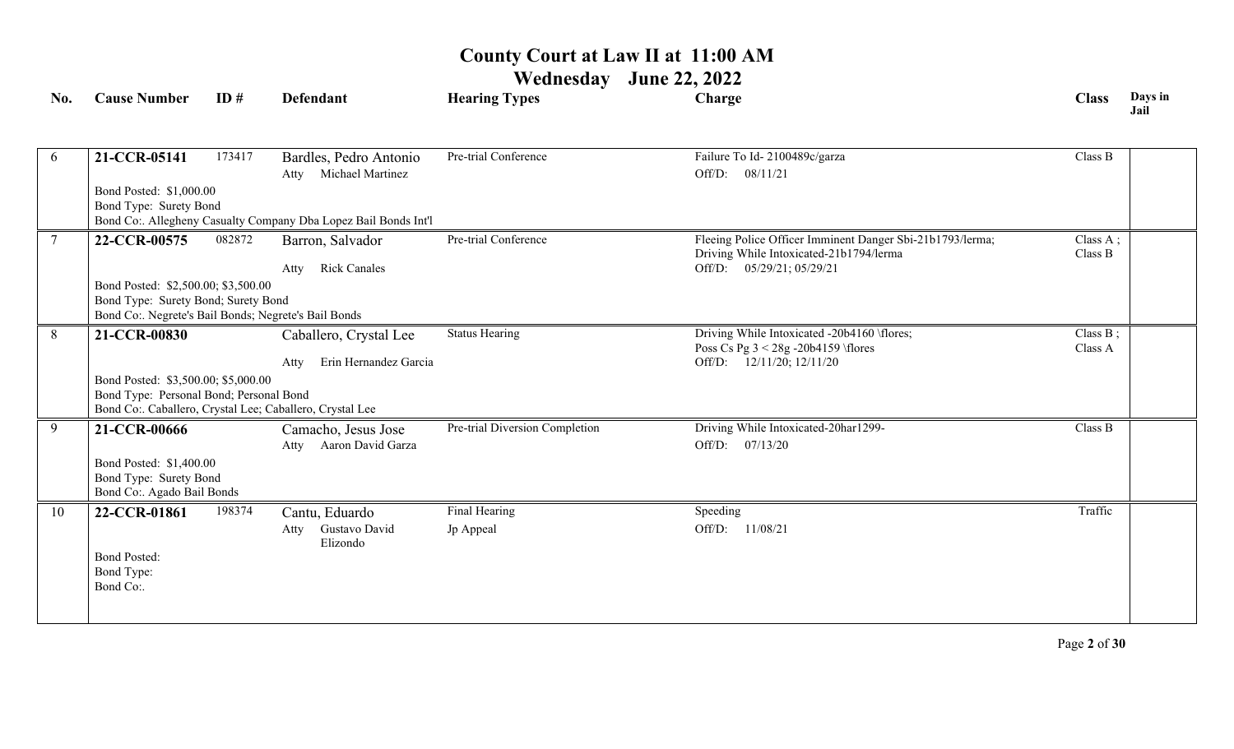| No. | <b>Cause Number</b>                                  | ID#    | <b>Defendant</b>                                                | <b>Hearing Types</b>           | Charge                                                                                               | <b>Class</b>        | Days in<br>Jail |
|-----|------------------------------------------------------|--------|-----------------------------------------------------------------|--------------------------------|------------------------------------------------------------------------------------------------------|---------------------|-----------------|
|     |                                                      |        |                                                                 |                                |                                                                                                      |                     |                 |
| 6   | 21-CCR-05141                                         | 173417 | Bardles, Pedro Antonio                                          | Pre-trial Conference           | Failure To Id-2100489c/garza                                                                         | Class B             |                 |
|     |                                                      |        | Atty Michael Martinez                                           |                                | Off/D: 08/11/21                                                                                      |                     |                 |
|     | Bond Posted: \$1,000.00                              |        |                                                                 |                                |                                                                                                      |                     |                 |
|     | Bond Type: Surety Bond                               |        |                                                                 |                                |                                                                                                      |                     |                 |
|     |                                                      |        | Bond Co:. Allegheny Casualty Company Dba Lopez Bail Bonds Int'l |                                |                                                                                                      |                     |                 |
|     | 22-CCR-00575                                         | 082872 | Barron, Salvador                                                | Pre-trial Conference           | Fleeing Police Officer Imminent Danger Sbi-21b1793/lerma;<br>Driving While Intoxicated-21b1794/lerma | Class A;<br>Class B |                 |
|     |                                                      |        | <b>Rick Canales</b><br>Atty                                     |                                | Off/D: 05/29/21; 05/29/21                                                                            |                     |                 |
|     | Bond Posted: \$2,500.00; \$3,500.00                  |        |                                                                 |                                |                                                                                                      |                     |                 |
|     | Bond Type: Surety Bond; Surety Bond                  |        |                                                                 |                                |                                                                                                      |                     |                 |
|     | Bond Co:. Negrete's Bail Bonds; Negrete's Bail Bonds |        |                                                                 |                                |                                                                                                      |                     |                 |
| 8   | 21-CCR-00830                                         |        | Caballero, Crystal Lee                                          | <b>Status Hearing</b>          | Driving While Intoxicated -20b4160 \flores;                                                          | Class $B$ ;         |                 |
|     |                                                      |        | Erin Hernandez Garcia<br>Atty                                   |                                | Poss Cs Pg $3 < 28g - 20b4159$ \flores<br>Off/D: 12/11/20; 12/11/20                                  | Class A             |                 |
|     | Bond Posted: \$3,500.00; \$5,000.00                  |        |                                                                 |                                |                                                                                                      |                     |                 |
|     | Bond Type: Personal Bond; Personal Bond              |        |                                                                 |                                |                                                                                                      |                     |                 |
|     |                                                      |        | Bond Co:. Caballero, Crystal Lee; Caballero, Crystal Lee        |                                |                                                                                                      |                     |                 |
| 9   | 21-CCR-00666                                         |        | Camacho, Jesus Jose                                             | Pre-trial Diversion Completion | Driving While Intoxicated-20har1299-                                                                 | Class B             |                 |
|     |                                                      |        | Atty Aaron David Garza                                          |                                | Off/D: $07/13/20$                                                                                    |                     |                 |
|     | Bond Posted: \$1,400.00                              |        |                                                                 |                                |                                                                                                      |                     |                 |
|     | Bond Type: Surety Bond                               |        |                                                                 |                                |                                                                                                      |                     |                 |
|     | Bond Co:. Agado Bail Bonds                           |        |                                                                 |                                |                                                                                                      |                     |                 |
| 10  | 22-CCR-01861                                         | 198374 | Cantu, Eduardo                                                  | Final Hearing                  | Speeding                                                                                             | Traffic             |                 |
|     |                                                      |        | Gustavo David<br>Atty<br>Elizondo                               | Jp Appeal                      | Off/D:<br>11/08/21                                                                                   |                     |                 |
|     | <b>Bond Posted:</b>                                  |        |                                                                 |                                |                                                                                                      |                     |                 |
|     | Bond Type:                                           |        |                                                                 |                                |                                                                                                      |                     |                 |
|     | Bond Co:.                                            |        |                                                                 |                                |                                                                                                      |                     |                 |
|     |                                                      |        |                                                                 |                                |                                                                                                      |                     |                 |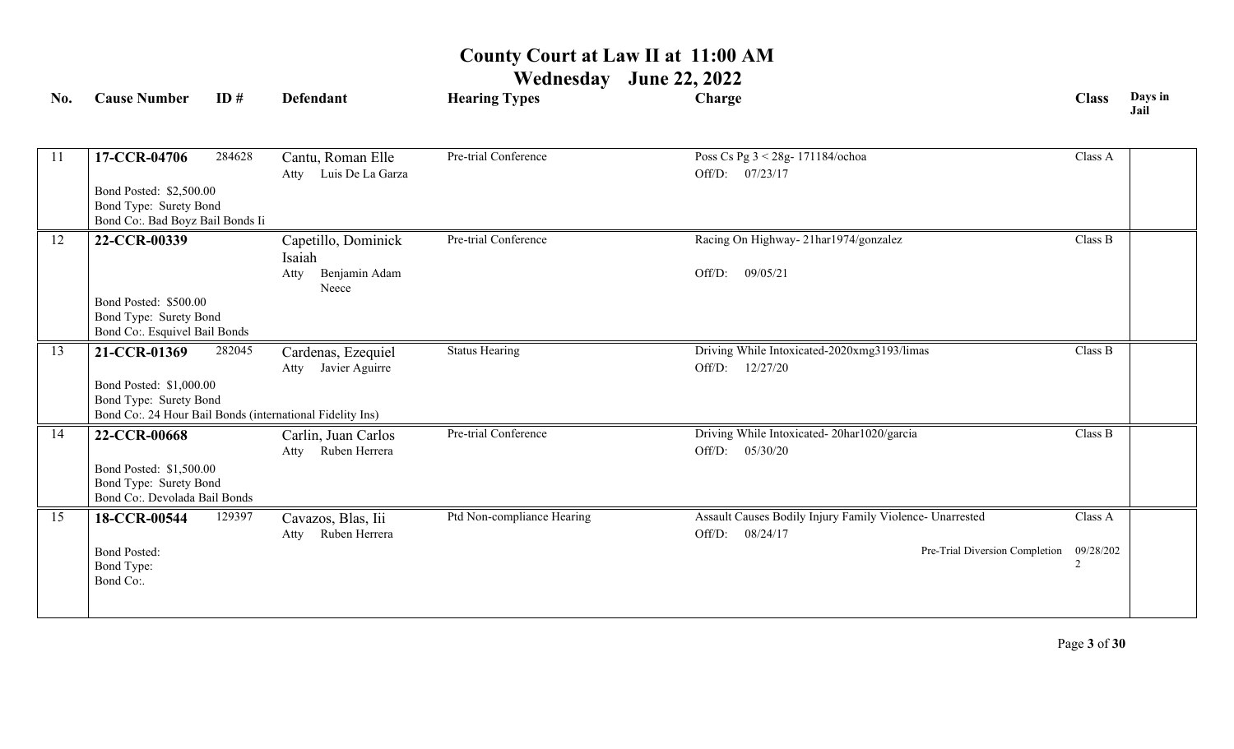| No. | <b>Cause Number</b>                               | ID#    | <b>Defendant</b>                                          | <b>Hearing Types</b>       | Charge                                                   | <b>Class</b> | Days in<br>Jail |
|-----|---------------------------------------------------|--------|-----------------------------------------------------------|----------------------------|----------------------------------------------------------|--------------|-----------------|
|     |                                                   |        |                                                           |                            |                                                          |              |                 |
| 11  | 17-CCR-04706                                      | 284628 | Cantu, Roman Elle                                         | Pre-trial Conference       | Poss Cs Pg 3 < 28g- 171184/ochoa                         | Class A      |                 |
|     |                                                   |        | Luis De La Garza<br>Atty                                  |                            | Off/D: 07/23/17                                          |              |                 |
|     | Bond Posted: \$2,500.00                           |        |                                                           |                            |                                                          |              |                 |
|     | Bond Type: Surety Bond                            |        |                                                           |                            |                                                          |              |                 |
|     | Bond Co:. Bad Boyz Bail Bonds Ii                  |        |                                                           |                            |                                                          |              |                 |
| 12  | 22-CCR-00339                                      |        | Capetillo, Dominick                                       | Pre-trial Conference       | Racing On Highway-21har1974/gonzalez                     | Class B      |                 |
|     |                                                   |        | Isaiah                                                    |                            |                                                          |              |                 |
|     |                                                   |        | Benjamin Adam<br>Atty<br>Neece                            |                            | 09/05/21<br>Off/D:                                       |              |                 |
|     | Bond Posted: \$500.00                             |        |                                                           |                            |                                                          |              |                 |
|     | Bond Type: Surety Bond                            |        |                                                           |                            |                                                          |              |                 |
|     | Bond Co:. Esquivel Bail Bonds                     |        |                                                           |                            |                                                          |              |                 |
| 13  | 21-CCR-01369                                      | 282045 | Cardenas, Ezequiel                                        | <b>Status Hearing</b>      | Driving While Intoxicated-2020xmg3193/limas              | Class B      |                 |
|     |                                                   |        | Javier Aguirre<br>Atty                                    |                            | 12/27/20<br>Off/D:                                       |              |                 |
|     | Bond Posted: \$1,000.00<br>Bond Type: Surety Bond |        |                                                           |                            |                                                          |              |                 |
|     |                                                   |        | Bond Co:. 24 Hour Bail Bonds (international Fidelity Ins) |                            |                                                          |              |                 |
| 14  | 22-CCR-00668                                      |        | Carlin, Juan Carlos                                       | Pre-trial Conference       | Driving While Intoxicated-20har1020/garcia               | Class B      |                 |
|     |                                                   |        | Ruben Herrera<br>Atty                                     |                            | 05/30/20<br>Off/D:                                       |              |                 |
|     | Bond Posted: \$1,500.00                           |        |                                                           |                            |                                                          |              |                 |
|     | Bond Type: Surety Bond                            |        |                                                           |                            |                                                          |              |                 |
|     | Bond Co:. Devolada Bail Bonds                     |        |                                                           |                            |                                                          |              |                 |
| 15  | 18-CCR-00544                                      | 129397 | Cavazos, Blas, Iii                                        | Ptd Non-compliance Hearing | Assault Causes Bodily Injury Family Violence- Unarrested | Class A      |                 |
|     |                                                   |        | Ruben Herrera<br>Atty                                     |                            | 08/24/17<br>Off/D:                                       |              |                 |
|     | <b>Bond Posted:</b>                               |        |                                                           |                            | Pre-Trial Diversion Completion                           | 09/28/202    |                 |
|     | Bond Type:<br>Bond Co:.                           |        |                                                           |                            |                                                          |              |                 |
|     |                                                   |        |                                                           |                            |                                                          |              |                 |
|     |                                                   |        |                                                           |                            |                                                          |              |                 |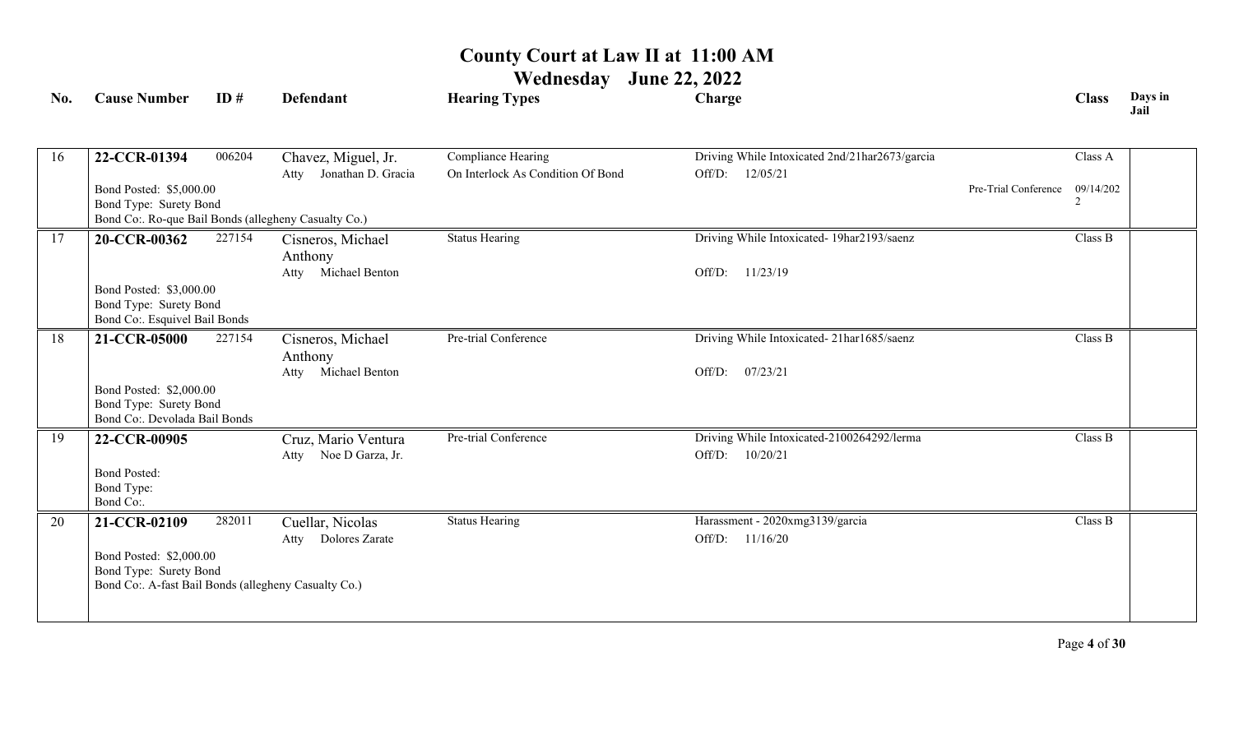| No. | <b>Cause Number</b>                                                                                                       | ID#    | <b>Defendant</b>                                       | <b>Hearing Types</b>                                    | Charge                                                               |                      | <b>Class</b> | Days in<br>Jail |
|-----|---------------------------------------------------------------------------------------------------------------------------|--------|--------------------------------------------------------|---------------------------------------------------------|----------------------------------------------------------------------|----------------------|--------------|-----------------|
| 16  | 22-CCR-01394                                                                                                              | 006204 | Chavez, Miguel, Jr.<br>Jonathan D. Gracia<br>Atty      | Compliance Hearing<br>On Interlock As Condition Of Bond | Driving While Intoxicated 2nd/21har2673/garcia<br>12/05/21<br>Off/D: |                      | Class A      |                 |
|     | Bond Posted: \$5,000.00<br>Bond Type: Surety Bond<br>Bond Co:. Ro-que Bail Bonds (allegheny Casualty Co.)                 |        |                                                        |                                                         |                                                                      | Pre-Trial Conference | 09/14/202    |                 |
| 17  | 20-CCR-00362<br>Bond Posted: \$3,000.00<br>Bond Type: Surety Bond<br>Bond Co:. Esquivel Bail Bonds                        | 227154 | Cisneros, Michael<br>Anthony<br>Michael Benton<br>Atty | <b>Status Hearing</b>                                   | Driving While Intoxicated- 19har2193/saenz<br>11/23/19<br>Off/D:     |                      | Class B      |                 |
| 18  | 21-CCR-05000<br>Bond Posted: \$2,000.00<br>Bond Type: Surety Bond<br>Bond Co:. Devolada Bail Bonds                        | 227154 | Cisneros, Michael<br>Anthony<br>Atty Michael Benton    | Pre-trial Conference                                    | Driving While Intoxicated-21har1685/saenz<br>07/23/21<br>Off/D:      |                      | Class B      |                 |
| 19  | 22-CCR-00905<br><b>Bond Posted:</b><br>Bond Type:<br>Bond Co:.                                                            |        | Cruz, Mario Ventura<br>Noe D Garza, Jr.<br>Atty        | Pre-trial Conference                                    | Driving While Intoxicated-2100264292/lerma<br>Off/D:<br>10/20/21     |                      | Class B      |                 |
| 20  | 21-CCR-02109<br>Bond Posted: \$2,000.00<br>Bond Type: Surety Bond<br>Bond Co:. A-fast Bail Bonds (allegheny Casualty Co.) | 282011 | Cuellar, Nicolas<br>Dolores Zarate<br>Atty             | <b>Status Hearing</b>                                   | Harassment - 2020xmg3139/garcia<br>Off/D:<br>11/16/20                |                      | Class B      |                 |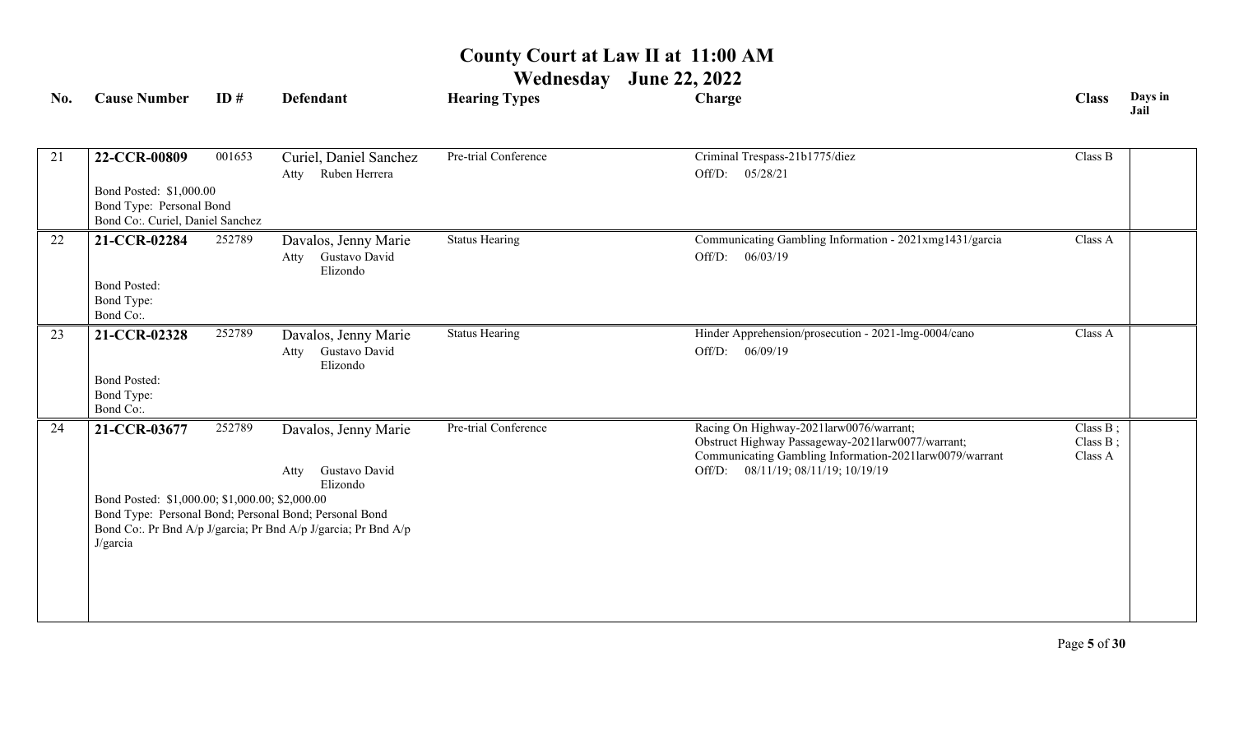| No. | <b>Cause Number</b>                                          | ID#    | <b>Defendant</b>                                               | <b>Hearing Types</b>  | Charge                                                                                       | <b>Class</b>            | Days in<br>Jail |
|-----|--------------------------------------------------------------|--------|----------------------------------------------------------------|-----------------------|----------------------------------------------------------------------------------------------|-------------------------|-----------------|
| 21  | 22-CCR-00809                                                 | 001653 | Curiel, Daniel Sanchez                                         | Pre-trial Conference  | Criminal Trespass-21b1775/diez                                                               | Class B                 |                 |
|     |                                                              |        | Ruben Herrera<br>Atty                                          |                       | 05/28/21<br>Off/D:                                                                           |                         |                 |
|     | Bond Posted: \$1,000.00                                      |        |                                                                |                       |                                                                                              |                         |                 |
|     | Bond Type: Personal Bond<br>Bond Co:. Curiel, Daniel Sanchez |        |                                                                |                       |                                                                                              |                         |                 |
| 22  | 21-CCR-02284                                                 | 252789 | Davalos, Jenny Marie                                           | <b>Status Hearing</b> | Communicating Gambling Information - 2021xmg1431/garcia                                      | Class A                 |                 |
|     |                                                              |        | Gustavo David<br>Atty<br>Elizondo                              |                       | 06/03/19<br>Off/D:                                                                           |                         |                 |
|     | <b>Bond Posted:</b>                                          |        |                                                                |                       |                                                                                              |                         |                 |
|     | Bond Type:<br>Bond Co:.                                      |        |                                                                |                       |                                                                                              |                         |                 |
| 23  | 21-CCR-02328                                                 | 252789 | Davalos, Jenny Marie                                           | <b>Status Hearing</b> | Hinder Apprehension/prosecution - 2021-lmg-0004/cano                                         | Class A                 |                 |
|     |                                                              |        | Gustavo David<br>Atty<br>Elizondo                              |                       | Off/D:<br>06/09/19                                                                           |                         |                 |
|     | <b>Bond Posted:</b>                                          |        |                                                                |                       |                                                                                              |                         |                 |
|     | Bond Type:<br>Bond Co:.                                      |        |                                                                |                       |                                                                                              |                         |                 |
| 24  | 21-CCR-03677                                                 | 252789 | Davalos, Jenny Marie                                           | Pre-trial Conference  | Racing On Highway-2021larw0076/warrant;<br>Obstruct Highway Passageway-2021larw0077/warrant; | Class B;<br>Class $B$ ; |                 |
|     |                                                              |        |                                                                |                       | Communicating Gambling Information-2021larw0079/warrant                                      | Class A                 |                 |
|     |                                                              |        | Gustavo David<br>Atty<br>Elizondo                              |                       | Off/D: 08/11/19; 08/11/19; 10/19/19                                                          |                         |                 |
|     | Bond Posted: \$1,000.00; \$1,000.00; \$2,000.00              |        |                                                                |                       |                                                                                              |                         |                 |
|     |                                                              |        | Bond Type: Personal Bond; Personal Bond; Personal Bond         |                       |                                                                                              |                         |                 |
|     | J/garcia                                                     |        | Bond Co:. Pr Bnd A/p J/garcia; Pr Bnd A/p J/garcia; Pr Bnd A/p |                       |                                                                                              |                         |                 |
|     |                                                              |        |                                                                |                       |                                                                                              |                         |                 |
|     |                                                              |        |                                                                |                       |                                                                                              |                         |                 |
|     |                                                              |        |                                                                |                       |                                                                                              |                         |                 |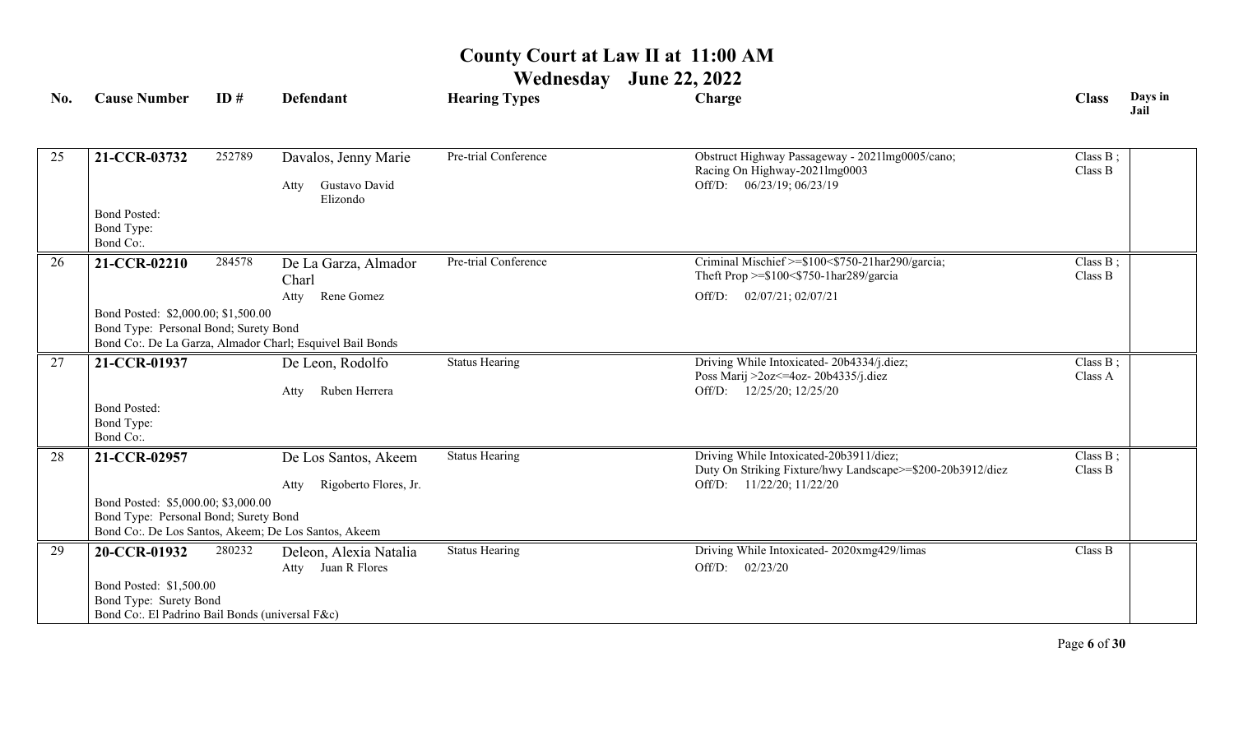**Wednesday June 22, 2022**

| No. | <b>Cause Number</b>                                                                                  | ID#    | <b>Defendant</b>                                          | <b>Hearing Types</b>  | Charge                                                                                                               | <b>Class</b>           | Days in<br>Jail |
|-----|------------------------------------------------------------------------------------------------------|--------|-----------------------------------------------------------|-----------------------|----------------------------------------------------------------------------------------------------------------------|------------------------|-----------------|
| 25  | 21-CCR-03732                                                                                         | 252789 | Davalos, Jenny Marie                                      | Pre-trial Conference  | Obstruct Highway Passageway - 2021lmg0005/cano;                                                                      | Class B;               |                 |
|     |                                                                                                      |        | Gustavo David<br>Atty<br>Elizondo                         |                       | Racing On Highway-2021lmg0003<br>Off/D: 06/23/19; 06/23/19                                                           | Class B                |                 |
|     | <b>Bond Posted:</b><br>Bond Type:<br>Bond Co:.                                                       |        |                                                           |                       |                                                                                                                      |                        |                 |
| 26  | 21-CCR-02210                                                                                         | 284578 | De La Garza, Almador<br>Charl                             | Pre-trial Conference  | Criminal Mischief >=\$100<\$750-21har290/garcia;<br>Theft Prop $>= $100 < $750-1$ har $289$ /garcia                  | Class $B$ ;<br>Class B |                 |
|     |                                                                                                      |        | Rene Gomez<br>Atty                                        |                       | Off/D: 02/07/21; 02/07/21                                                                                            |                        |                 |
|     | Bond Posted: \$2,000.00; \$1,500.00<br>Bond Type: Personal Bond; Surety Bond                         |        | Bond Co:. De La Garza, Almador Charl; Esquivel Bail Bonds |                       |                                                                                                                      |                        |                 |
| 27  | 21-CCR-01937                                                                                         |        | De Leon, Rodolfo<br>Ruben Herrera<br>Atty                 | <b>Status Hearing</b> | Driving While Intoxicated-20b4334/j.diez;<br>Poss Marij >2oz <= 4oz - 20b4335/j.diez<br>12/25/20; 12/25/20<br>Off/D: | Class $B$ ;<br>Class A |                 |
|     | <b>Bond Posted:</b><br>Bond Type:<br>Bond Co:.                                                       |        |                                                           |                       |                                                                                                                      |                        |                 |
| 28  | 21-CCR-02957                                                                                         |        | De Los Santos, Akeem                                      | <b>Status Hearing</b> | Driving While Intoxicated-20b3911/diez;<br>Duty On Striking Fixture/hwy Landscape>=\$200-20b3912/diez                | Class $B$ ;<br>Class B |                 |
|     |                                                                                                      |        | Rigoberto Flores, Jr.<br>Atty                             |                       | 11/22/20; 11/22/20<br>Off/D:                                                                                         |                        |                 |
|     | Bond Posted: \$5,000.00; \$3,000.00<br>Bond Type: Personal Bond; Surety Bond                         |        | Bond Co:. De Los Santos, Akeem; De Los Santos, Akeem      |                       |                                                                                                                      |                        |                 |
| 29  | 20-CCR-01932                                                                                         | 280232 | Deleon, Alexia Natalia<br>Juan R Flores<br>Atty           | <b>Status Hearing</b> | Driving While Intoxicated-2020xmg429/limas<br>02/23/20<br>Off/D:                                                     | Class B                |                 |
|     | Bond Posted: \$1,500.00<br>Bond Type: Surety Bond<br>Bond Co:. El Padrino Bail Bonds (universal F&c) |        |                                                           |                       |                                                                                                                      |                        |                 |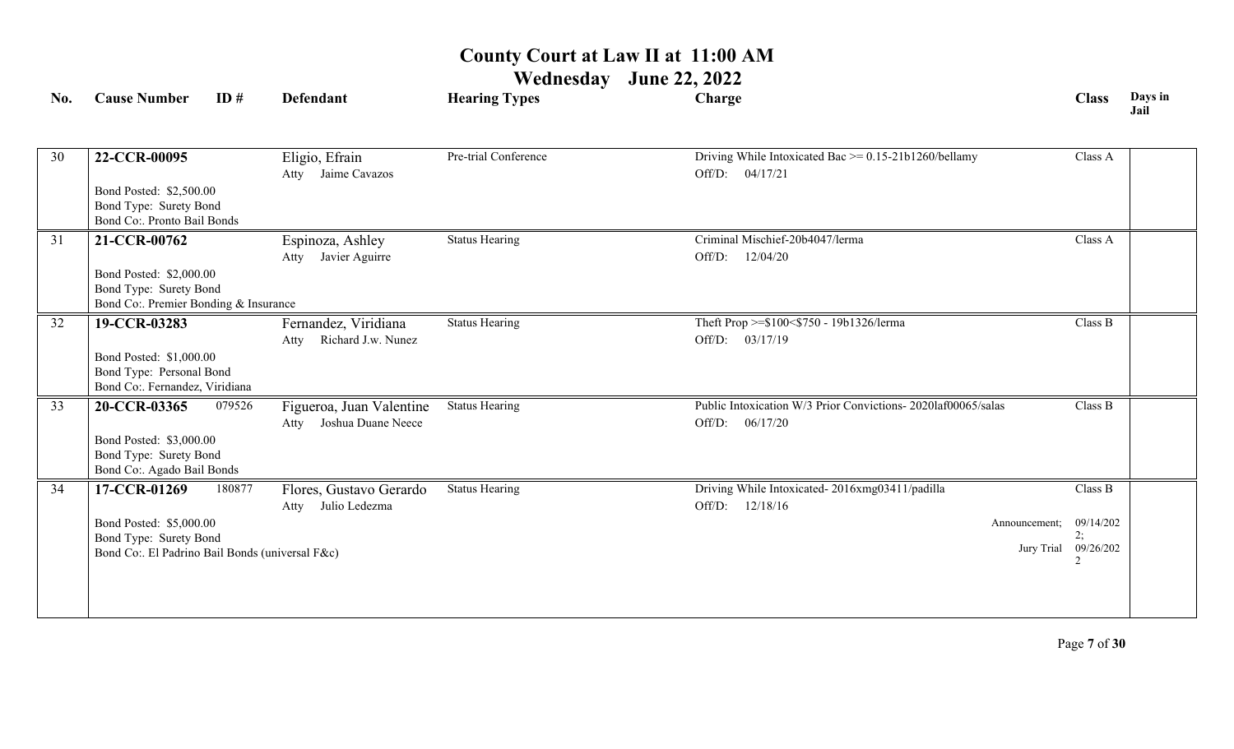| No. | <b>Cause Number</b>                                             | ID#    | Defendant                                              | <b>Hearing Types</b>  | Charge                                                       | <b>Class</b>    | Days in<br>Jail |
|-----|-----------------------------------------------------------------|--------|--------------------------------------------------------|-----------------------|--------------------------------------------------------------|-----------------|-----------------|
| 30  | 22-CCR-00095                                                    |        | Eligio, Efrain                                         | Pre-trial Conference  | Driving While Intoxicated Bac $\ge$ = 0.15-21b1260/bellamy   | Class A         |                 |
|     |                                                                 |        | Jaime Cavazos<br>Atty                                  |                       | 04/17/21<br>Off/D:                                           |                 |                 |
|     | Bond Posted: \$2,500.00                                         |        |                                                        |                       |                                                              |                 |                 |
|     | Bond Type: Surety Bond<br>Bond Co:. Pronto Bail Bonds           |        |                                                        |                       |                                                              |                 |                 |
| 31  | 21-CCR-00762                                                    |        | Espinoza, Ashley                                       | <b>Status Hearing</b> | Criminal Mischief-20b4047/lerma                              | Class A         |                 |
|     |                                                                 |        | Javier Aguirre<br>Atty                                 |                       | 12/04/20<br>Off/D:                                           |                 |                 |
|     | Bond Posted: \$2,000.00                                         |        |                                                        |                       |                                                              |                 |                 |
|     | Bond Type: Surety Bond<br>Bond Co:. Premier Bonding & Insurance |        |                                                        |                       |                                                              |                 |                 |
| 32  | 19-CCR-03283                                                    |        | Fernandez, Viridiana                                   | <b>Status Hearing</b> | Theft Prop >=\$100<\$750 - 19b1326/lerma                     | Class B         |                 |
|     |                                                                 |        | Richard J.w. Nunez<br>Atty                             |                       | 03/17/19<br>Off/D:                                           |                 |                 |
|     | Bond Posted: \$1,000.00                                         |        |                                                        |                       |                                                              |                 |                 |
|     | Bond Type: Personal Bond<br>Bond Co:. Fernandez, Viridiana      |        |                                                        |                       |                                                              |                 |                 |
| 33  | 20-CCR-03365                                                    | 079526 |                                                        | <b>Status Hearing</b> | Public Intoxication W/3 Prior Convictions-2020laf00065/salas | Class B         |                 |
|     |                                                                 |        | Figueroa, Juan Valentine<br>Joshua Duane Neece<br>Atty |                       | 06/17/20<br>Off/D:                                           |                 |                 |
|     | Bond Posted: \$3,000.00                                         |        |                                                        |                       |                                                              |                 |                 |
|     | Bond Type: Surety Bond                                          |        |                                                        |                       |                                                              |                 |                 |
|     | Bond Co:. Agado Bail Bonds                                      |        |                                                        |                       |                                                              |                 |                 |
| 34  | 17-CCR-01269                                                    | 180877 | Flores, Gustavo Gerardo                                | <b>Status Hearing</b> | Driving While Intoxicated-2016xmg03411/padilla               | Class B         |                 |
|     |                                                                 |        | Julio Ledezma<br>Atty                                  |                       | Off/D:<br>12/18/16                                           |                 |                 |
|     | Bond Posted: \$5,000.00<br>Bond Type: Surety Bond               |        |                                                        |                       | Announcement;                                                | 09/14/202<br>2; |                 |
|     | Bond Co:. El Padrino Bail Bonds (universal F&c)                 |        |                                                        |                       | Jury Trial                                                   | 09/26/202       |                 |
|     |                                                                 |        |                                                        |                       |                                                              | $\mathfrak{D}$  |                 |
|     |                                                                 |        |                                                        |                       |                                                              |                 |                 |
|     |                                                                 |        |                                                        |                       |                                                              |                 |                 |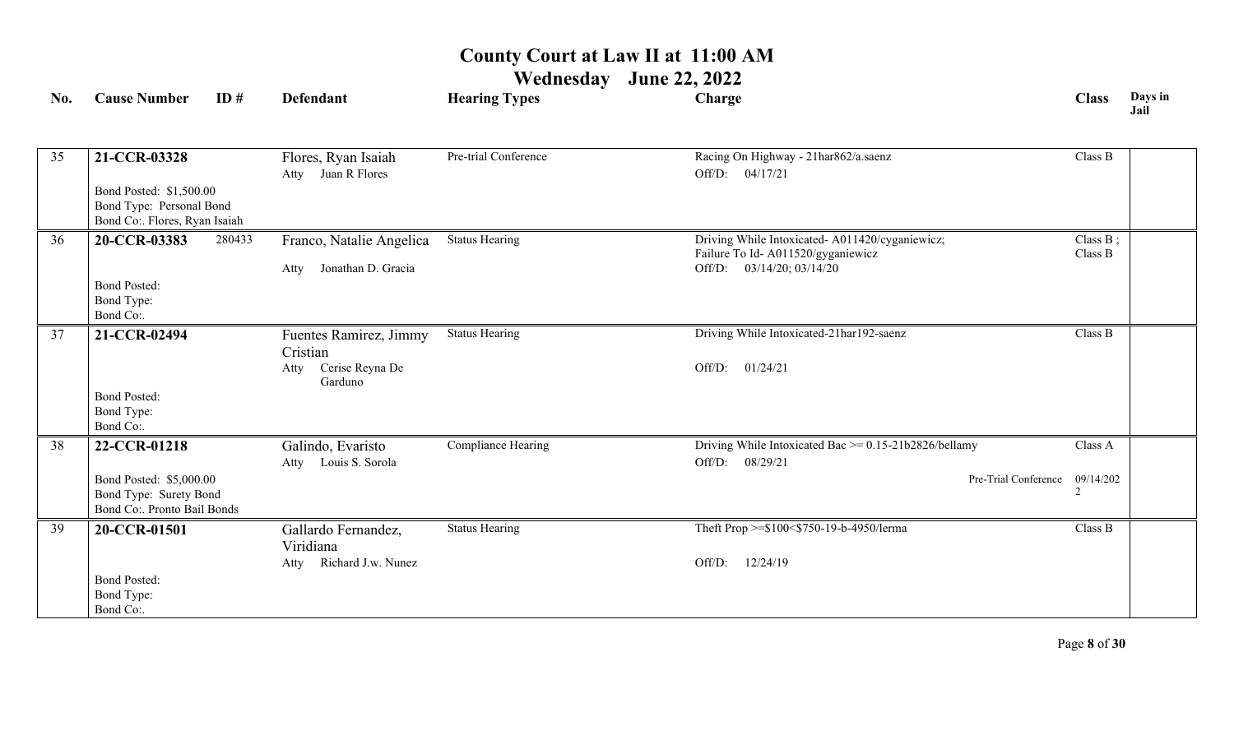| No. | <b>Cause Number</b>                                                                  | ID#    | <b>Defendant</b>                          | <b>Hearing Types</b>  | Charge                                                                              | <b>Class</b>                | Days in<br>Jail |
|-----|--------------------------------------------------------------------------------------|--------|-------------------------------------------|-----------------------|-------------------------------------------------------------------------------------|-----------------------------|-----------------|
|     |                                                                                      |        |                                           |                       |                                                                                     |                             |                 |
| 35  | 21-CCR-03328                                                                         |        | Flores, Ryan Isaiah<br>Atty Juan R Flores | Pre-trial Conference  | Racing On Highway - 21har862/a.saenz<br>Off/D: 04/17/21                             | Class B                     |                 |
|     | Bond Posted: \$1,500.00<br>Bond Type: Personal Bond<br>Bond Co:. Flores, Ryan Isaiah |        |                                           |                       |                                                                                     |                             |                 |
| 36  | 20-CCR-03383                                                                         | 280433 | Franco, Natalie Angelica                  | Status Hearing        | Driving While Intoxicated-A011420/cyganiewicz;<br>Failure To Id-A011520/gyganiewicz | Class B;<br>Class B         |                 |
|     | <b>Bond Posted:</b><br>Bond Type:<br>Bond Co:.                                       |        | Jonathan D. Gracia<br>Atty                |                       | 03/14/20; 03/14/20<br>Off/D:                                                        |                             |                 |
| 37  | 21-CCR-02494                                                                         |        | Fuentes Ramirez, Jimmy<br>Cristian        | <b>Status Hearing</b> | Driving While Intoxicated-21har192-saenz                                            | Class B                     |                 |
|     |                                                                                      |        | Cerise Reyna De<br>Atty<br>Garduno        |                       | 01/24/21<br>Off/D:                                                                  |                             |                 |
|     | <b>Bond Posted:</b><br>Bond Type:<br>Bond Co:.                                       |        |                                           |                       |                                                                                     |                             |                 |
| 38  | 22-CCR-01218                                                                         |        | Galindo, Evaristo<br>Atty Louis S. Sorola | Compliance Hearing    | Driving While Intoxicated Bac $\ge$ = 0.15-21b2826/bellamy<br>08/29/21<br>Off/D:    | Class A                     |                 |
|     | Bond Posted: \$5,000.00<br>Bond Type: Surety Bond<br>Bond Co:. Pronto Bail Bonds     |        |                                           |                       | Pre-Trial Conference                                                                | 09/14/202<br>$\overline{c}$ |                 |
| 39  | 20-CCR-01501                                                                         |        | Gallardo Fernandez,<br>Viridiana          | <b>Status Hearing</b> | Theft Prop >=\$100<\$750-19-b-4950/lerma                                            | Class B                     |                 |
|     |                                                                                      |        | Richard J.w. Nunez<br>Atty                |                       | Off/D:<br>12/24/19                                                                  |                             |                 |
|     | <b>Bond Posted:</b><br>Bond Type:<br>Bond Co:.                                       |        |                                           |                       |                                                                                     |                             |                 |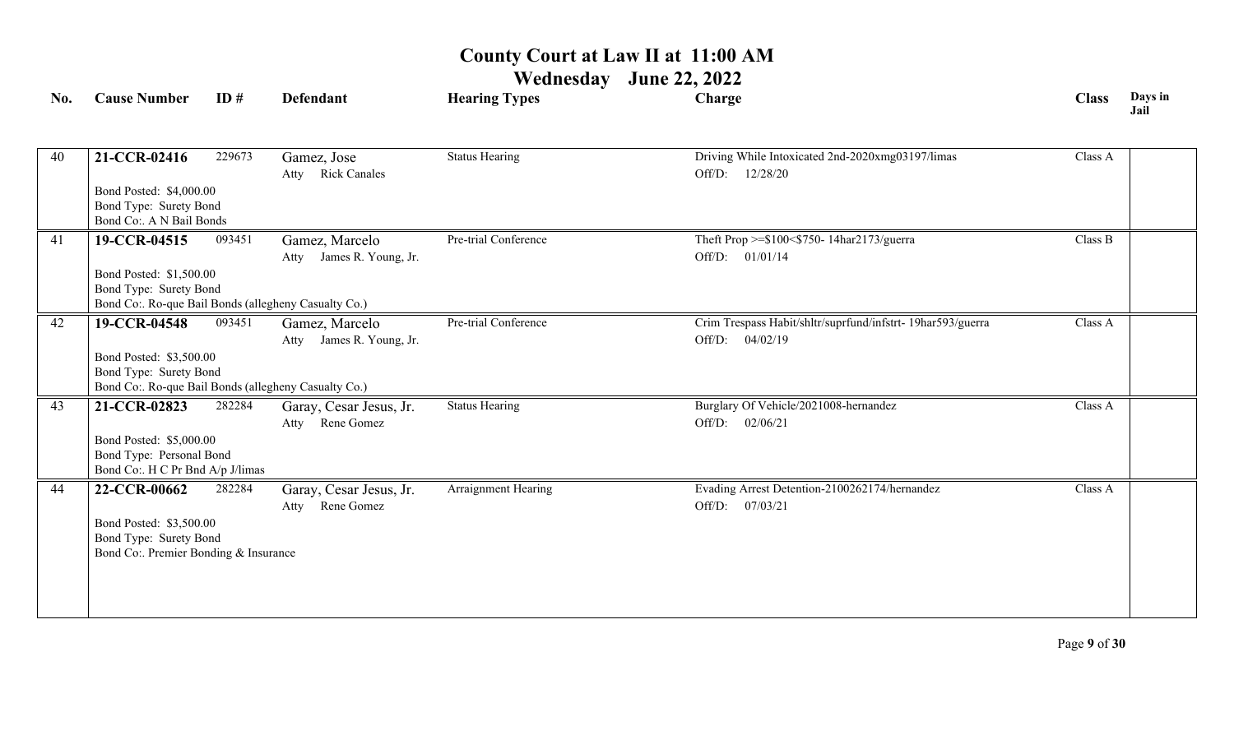| No. | <b>Cause Number</b>                                  | ID#    | <b>Defendant</b>                              | <b>Hearing Types</b>  | Charge                                                                         | <b>Class</b> | Days in<br>Jail |
|-----|------------------------------------------------------|--------|-----------------------------------------------|-----------------------|--------------------------------------------------------------------------------|--------------|-----------------|
| 40  | 21-CCR-02416                                         | 229673 |                                               | <b>Status Hearing</b> | Driving While Intoxicated 2nd-2020xmg03197/limas                               | Class A      |                 |
|     |                                                      |        | Gamez, Jose<br><b>Rick Canales</b><br>Atty    |                       | Off/D: 12/28/20                                                                |              |                 |
|     | Bond Posted: \$4,000.00                              |        |                                               |                       |                                                                                |              |                 |
|     | Bond Type: Surety Bond<br>Bond Co:. A N Bail Bonds   |        |                                               |                       |                                                                                |              |                 |
| 41  | 19-CCR-04515                                         | 093451 | Gamez, Marcelo                                | Pre-trial Conference  | Theft Prop >=\$100<\$750-14har2173/guerra                                      | Class B      |                 |
|     |                                                      |        | Atty James R. Young, Jr.                      |                       | Off/D: 01/01/14                                                                |              |                 |
|     | Bond Posted: \$1,500.00                              |        |                                               |                       |                                                                                |              |                 |
|     | Bond Type: Surety Bond                               |        |                                               |                       |                                                                                |              |                 |
|     | Bond Co:. Ro-que Bail Bonds (allegheny Casualty Co.) |        |                                               |                       |                                                                                |              |                 |
| 42  | 19-CCR-04548                                         | 093451 | Gamez, Marcelo                                | Pre-trial Conference  | Crim Trespass Habit/shltr/suprfund/infstrt- 19har593/guerra<br>Off/D: 04/02/19 | Class A      |                 |
|     | Bond Posted: \$3,500.00                              |        | James R. Young, Jr.<br>Atty                   |                       |                                                                                |              |                 |
|     | Bond Type: Surety Bond                               |        |                                               |                       |                                                                                |              |                 |
|     | Bond Co:. Ro-que Bail Bonds (allegheny Casualty Co.) |        |                                               |                       |                                                                                |              |                 |
| 43  | 21-CCR-02823                                         | 282284 | Garay, Cesar Jesus, Jr.                       | <b>Status Hearing</b> | Burglary Of Vehicle/2021008-hernandez                                          | Class A      |                 |
|     |                                                      |        | Rene Gomez<br>Atty                            |                       | Off/D: 02/06/21                                                                |              |                 |
|     | Bond Posted: \$5,000.00                              |        |                                               |                       |                                                                                |              |                 |
|     | Bond Type: Personal Bond                             |        |                                               |                       |                                                                                |              |                 |
|     | Bond Co:. H C Pr Bnd A/p J/limas                     |        |                                               |                       |                                                                                | Class A      |                 |
| 44  | 22-CCR-00662                                         | 282284 | Garay, Cesar Jesus, Jr.<br>Rene Gomez<br>Atty | Arraignment Hearing   | Evading Arrest Detention-2100262174/hernandez<br>Off/D: 07/03/21               |              |                 |
|     | Bond Posted: \$3,500.00                              |        |                                               |                       |                                                                                |              |                 |
|     | Bond Type: Surety Bond                               |        |                                               |                       |                                                                                |              |                 |
|     | Bond Co: Premier Bonding & Insurance                 |        |                                               |                       |                                                                                |              |                 |
|     |                                                      |        |                                               |                       |                                                                                |              |                 |
|     |                                                      |        |                                               |                       |                                                                                |              |                 |
|     |                                                      |        |                                               |                       |                                                                                |              |                 |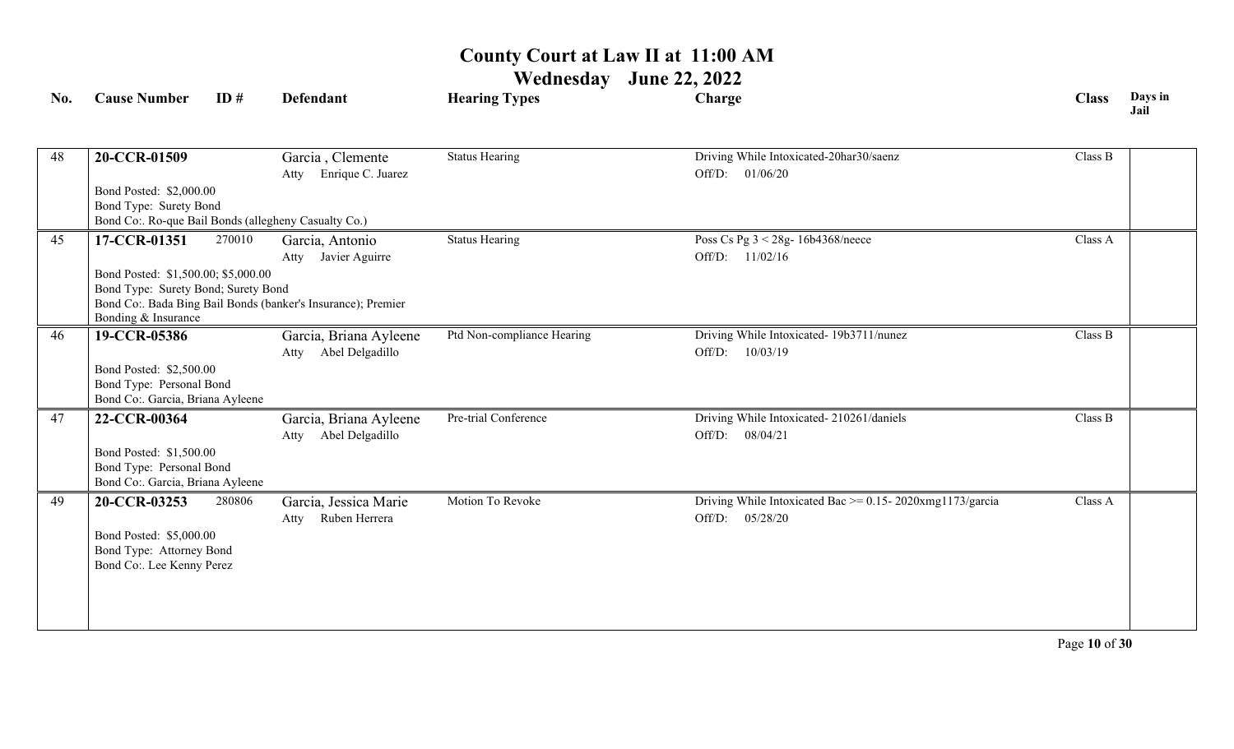| No. | <b>Cause Number</b>                                                                                               | ID#    | Defendant                                                                                                 | <b>Hearing Types</b>       | Charge                                                                              | <b>Class</b> | Days in<br>Jail |
|-----|-------------------------------------------------------------------------------------------------------------------|--------|-----------------------------------------------------------------------------------------------------------|----------------------------|-------------------------------------------------------------------------------------|--------------|-----------------|
| 48  | 20-CCR-01509                                                                                                      |        | Garcia, Clemente<br>Enrique C. Juarez<br>Atty                                                             | <b>Status Hearing</b>      | Driving While Intoxicated-20har30/saenz<br>Off/D: 01/06/20                          | Class B      |                 |
|     | Bond Posted: \$2,000.00<br>Bond Type: Surety Bond<br>Bond Co:. Ro-que Bail Bonds (allegheny Casualty Co.)         |        |                                                                                                           |                            |                                                                                     |              |                 |
| 45  | 17-CCR-01351<br>Bond Posted: \$1,500.00; \$5,000.00<br>Bond Type: Surety Bond; Surety Bond<br>Bonding & Insurance | 270010 | Garcia, Antonio<br>Javier Aguirre<br>Atty<br>Bond Co:. Bada Bing Bail Bonds (banker's Insurance); Premier | <b>Status Hearing</b>      | Poss Cs Pg 3 < 28g- 16b4368/neece<br>Off/D:<br>11/02/16                             | Class A      |                 |
| 46  | 19-CCR-05386<br>Bond Posted: \$2,500.00<br>Bond Type: Personal Bond<br>Bond Co:. Garcia, Briana Ayleene           |        | Garcia, Briana Ayleene<br>Abel Delgadillo<br>Atty                                                         | Ptd Non-compliance Hearing | Driving While Intoxicated-19b3711/nunez<br>Off/D:<br>10/03/19                       | Class B      |                 |
| 47  | 22-CCR-00364<br>Bond Posted: \$1,500.00<br>Bond Type: Personal Bond<br>Bond Co:. Garcia, Briana Ayleene           |        | Garcia, Briana Ayleene<br>Abel Delgadillo<br>Atty                                                         | Pre-trial Conference       | Driving While Intoxicated-210261/daniels<br>08/04/21<br>Off/D:                      | Class B      |                 |
| 49  | 20-CCR-03253<br>Bond Posted: \$5,000.00<br>Bond Type: Attorney Bond<br>Bond Co:. Lee Kenny Perez                  | 280806 | Garcia, Jessica Marie<br>Ruben Herrera<br>Atty                                                            | Motion To Revoke           | Driving While Intoxicated Bac $\ge$ = 0.15-2020xmg1173/garcia<br>Off/D:<br>05/28/20 | Class A      |                 |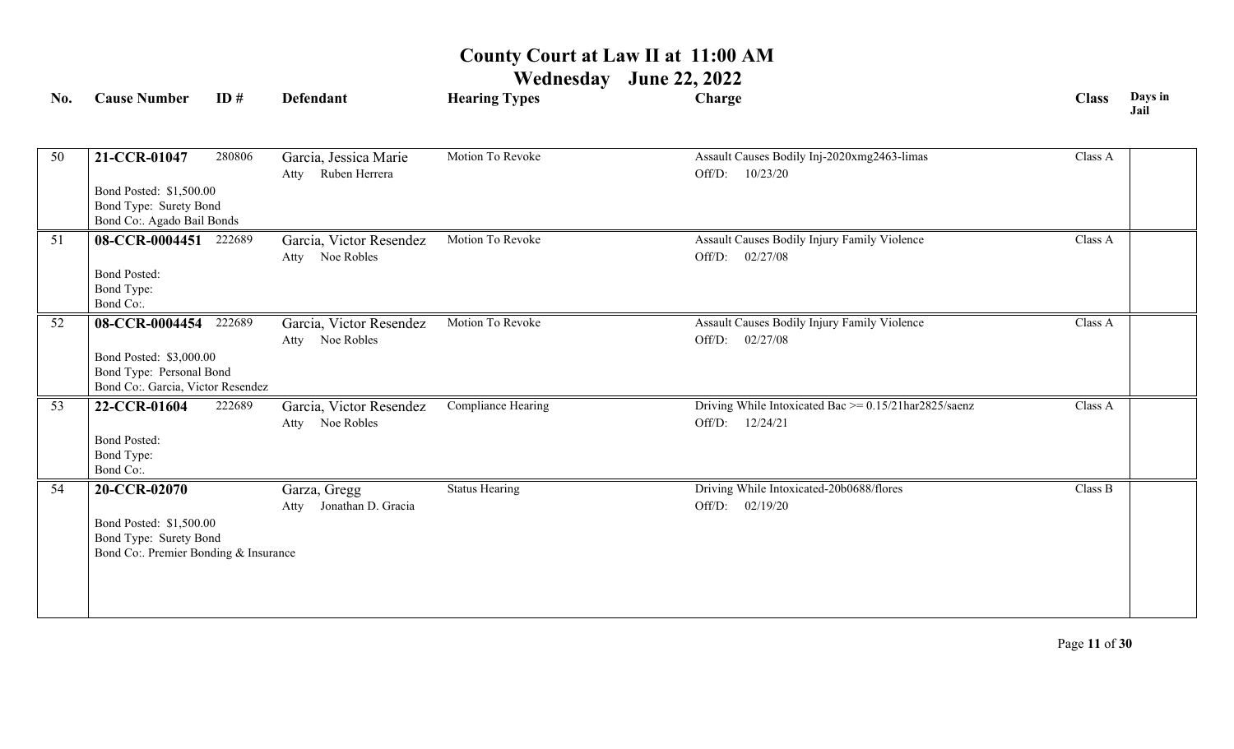| No. | <b>Cause Number</b>                                                                                               | ID#    | <b>Defendant</b>                               | <b>Hearing Types</b>  | Charge                                                                        | <b>Class</b> | Days in<br>Jail |
|-----|-------------------------------------------------------------------------------------------------------------------|--------|------------------------------------------------|-----------------------|-------------------------------------------------------------------------------|--------------|-----------------|
| 50  | 21-CCR-01047<br>Bond Posted: \$1,500.00<br>Bond Type: Surety Bond<br>Bond Co:. Agado Bail Bonds                   | 280806 | Garcia, Jessica Marie<br>Ruben Herrera<br>Atty | Motion To Revoke      | Assault Causes Bodily Inj-2020xmg2463-limas<br>10/23/20<br>Off/D:             | Class A      |                 |
| 51  | 08-CCR-0004451 222689<br><b>Bond Posted:</b><br>Bond Type:<br>Bond Co:.                                           |        | Garcia, Victor Resendez<br>Atty Noe Robles     | Motion To Revoke      | Assault Causes Bodily Injury Family Violence<br>Off/D: 02/27/08               | Class A      |                 |
| 52  | 08-CCR-0004454 222689<br>Bond Posted: \$3,000.00<br>Bond Type: Personal Bond<br>Bond Co:. Garcia, Victor Resendez |        | Garcia, Victor Resendez<br>Atty Noe Robles     | Motion To Revoke      | Assault Causes Bodily Injury Family Violence<br>Off/D:<br>02/27/08            | Class A      |                 |
| 53  | 22-CCR-01604<br><b>Bond Posted:</b><br>Bond Type:<br>Bond Co:.                                                    | 222689 | Garcia, Victor Resendez<br>Atty Noe Robles     | Compliance Hearing    | Driving While Intoxicated Bac $\ge$ = 0.15/21har2825/saenz<br>Off/D: 12/24/21 | Class A      |                 |
| 54  | 20-CCR-02070<br>Bond Posted: \$1,500.00<br>Bond Type: Surety Bond<br>Bond Co:. Premier Bonding & Insurance        |        | Garza, Gregg<br>Jonathan D. Gracia<br>Atty     | <b>Status Hearing</b> | Driving While Intoxicated-20b0688/flores<br>Off/D: 02/19/20                   | Class B      |                 |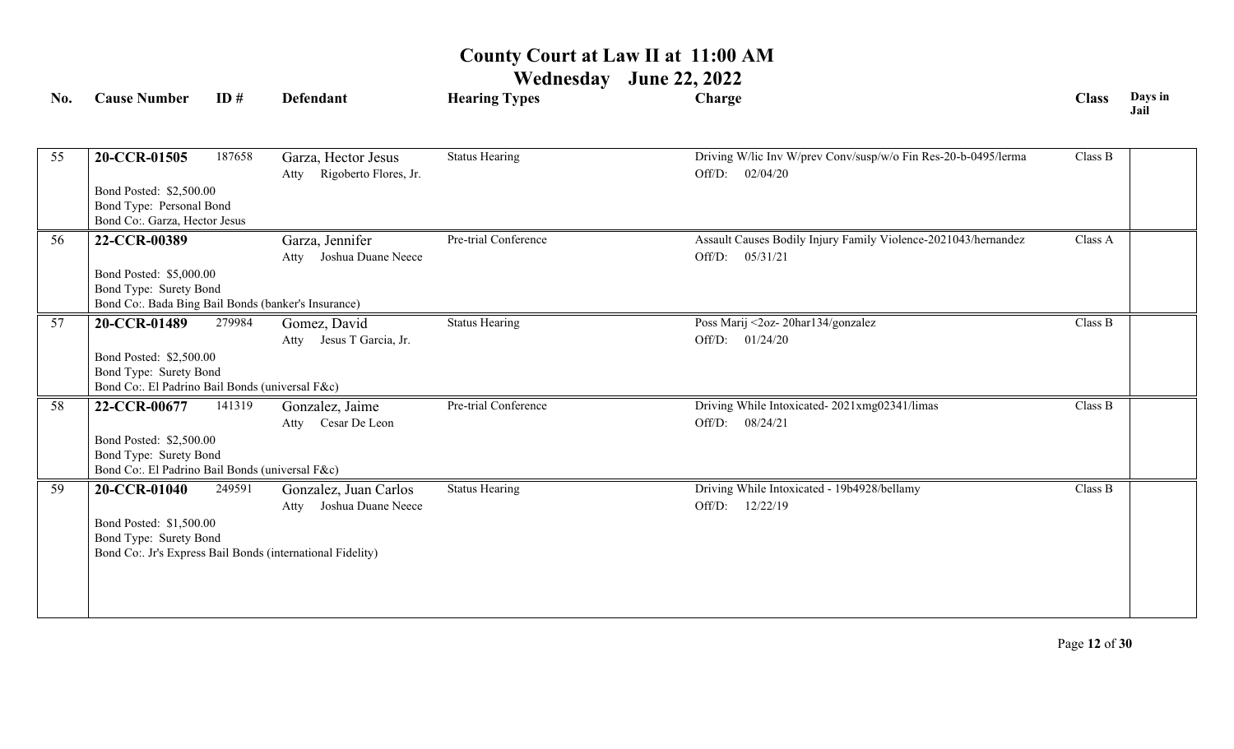| No. | <b>Cause Number</b>                                                       | ID#    | <b>Defendant</b>                                          | <b>Hearing Types</b>  | Charge                                                         | <b>Class</b> | Days in<br>Jail |
|-----|---------------------------------------------------------------------------|--------|-----------------------------------------------------------|-----------------------|----------------------------------------------------------------|--------------|-----------------|
|     |                                                                           |        |                                                           |                       |                                                                |              |                 |
| 55  | 20-CCR-01505                                                              | 187658 | Garza, Hector Jesus                                       | <b>Status Hearing</b> | Driving W/lic Inv W/prev Conv/susp/w/o Fin Res-20-b-0495/lerma | Class B      |                 |
|     |                                                                           |        | Rigoberto Flores, Jr.<br>Atty                             |                       | Off/D:<br>02/04/20                                             |              |                 |
|     | Bond Posted: \$2,500.00                                                   |        |                                                           |                       |                                                                |              |                 |
|     | Bond Type: Personal Bond<br>Bond Co:. Garza, Hector Jesus                 |        |                                                           |                       |                                                                |              |                 |
| 56  | 22-CCR-00389                                                              |        | Garza, Jennifer                                           | Pre-trial Conference  | Assault Causes Bodily Injury Family Violence-2021043/hernandez | Class A      |                 |
|     |                                                                           |        | Joshua Duane Neece<br>Atty                                |                       | Off/D:<br>05/31/21                                             |              |                 |
|     | Bond Posted: \$5,000.00                                                   |        |                                                           |                       |                                                                |              |                 |
|     | Bond Type: Surety Bond                                                    |        |                                                           |                       |                                                                |              |                 |
|     | Bond Co:. Bada Bing Bail Bonds (banker's Insurance)                       |        |                                                           |                       |                                                                |              |                 |
| 57  | 20-CCR-01489                                                              | 279984 | Gomez, David                                              | <b>Status Hearing</b> | Poss Marij <2oz-20har134/gonzalez                              | Class B      |                 |
|     |                                                                           |        | Jesus T Garcia, Jr.<br>Atty                               |                       | Off/D: 01/24/20                                                |              |                 |
|     | Bond Posted: \$2,500.00                                                   |        |                                                           |                       |                                                                |              |                 |
|     | Bond Type: Surety Bond<br>Bond Co:. El Padrino Bail Bonds (universal F&c) |        |                                                           |                       |                                                                |              |                 |
| 58  | 22-CCR-00677                                                              | 141319 | Gonzalez, Jaime                                           | Pre-trial Conference  | Driving While Intoxicated-2021xmg02341/limas                   | Class B      |                 |
|     |                                                                           |        | Cesar De Leon<br>Atty                                     |                       | Off/D: 08/24/21                                                |              |                 |
|     | Bond Posted: \$2,500.00                                                   |        |                                                           |                       |                                                                |              |                 |
|     | Bond Type: Surety Bond                                                    |        |                                                           |                       |                                                                |              |                 |
|     | Bond Co:. El Padrino Bail Bonds (universal F&c)                           |        |                                                           |                       |                                                                |              |                 |
| 59  | 20-CCR-01040                                                              | 249591 | Gonzalez, Juan Carlos                                     | <b>Status Hearing</b> | Driving While Intoxicated - 19b4928/bellamy                    | Class B      |                 |
|     |                                                                           |        | Joshua Duane Neece<br>Atty                                |                       | Off/D: 12/22/19                                                |              |                 |
|     | Bond Posted: \$1,500.00                                                   |        |                                                           |                       |                                                                |              |                 |
|     | Bond Type: Surety Bond                                                    |        | Bond Co: Jr's Express Bail Bonds (international Fidelity) |                       |                                                                |              |                 |
|     |                                                                           |        |                                                           |                       |                                                                |              |                 |
|     |                                                                           |        |                                                           |                       |                                                                |              |                 |
|     |                                                                           |        |                                                           |                       |                                                                |              |                 |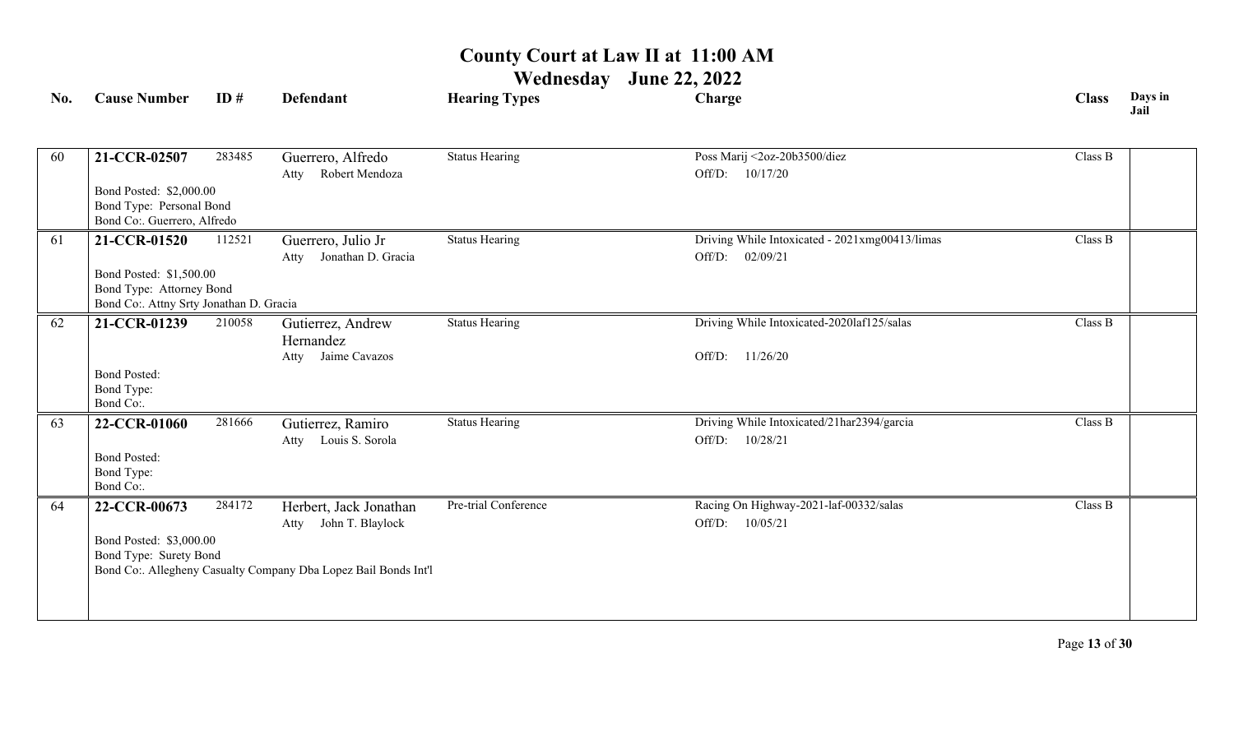| No. | <b>Cause Number</b>                     | ID#    | <b>Defendant</b>                                                | <b>Hearing Types</b>  | Charge                                         | <b>Class</b> | Days in<br>Jail |
|-----|-----------------------------------------|--------|-----------------------------------------------------------------|-----------------------|------------------------------------------------|--------------|-----------------|
| 60  | 21-CCR-02507                            | 283485 | Guerrero, Alfredo                                               | <b>Status Hearing</b> | Poss Marij <2oz-20b3500/diez                   | Class B      |                 |
|     |                                         |        | Robert Mendoza<br>Atty                                          |                       | 10/17/20<br>Off/D:                             |              |                 |
|     | Bond Posted: \$2,000.00                 |        |                                                                 |                       |                                                |              |                 |
|     | Bond Type: Personal Bond                |        |                                                                 |                       |                                                |              |                 |
|     | Bond Co:. Guerrero, Alfredo             |        |                                                                 |                       |                                                |              |                 |
| 61  | 21-CCR-01520                            | 112521 | Guerrero, Julio Jr                                              | <b>Status Hearing</b> | Driving While Intoxicated - 2021xmg00413/limas | Class B      |                 |
|     |                                         |        | Jonathan D. Gracia<br>Atty                                      |                       | Off/D:<br>02/09/21                             |              |                 |
|     | Bond Posted: \$1,500.00                 |        |                                                                 |                       |                                                |              |                 |
|     | Bond Type: Attorney Bond                |        |                                                                 |                       |                                                |              |                 |
|     | Bond Co:. Attny Srty Jonathan D. Gracia |        |                                                                 |                       |                                                |              |                 |
| 62  | 21-CCR-01239                            | 210058 | Gutierrez, Andrew                                               | <b>Status Hearing</b> | Driving While Intoxicated-2020laf125/salas     | Class B      |                 |
|     |                                         |        | Hernandez                                                       |                       |                                                |              |                 |
|     |                                         |        | Jaime Cavazos<br>Atty                                           |                       | 11/26/20<br>Off/D:                             |              |                 |
|     | <b>Bond Posted:</b>                     |        |                                                                 |                       |                                                |              |                 |
|     | Bond Type:<br>Bond Co:.                 |        |                                                                 |                       |                                                |              |                 |
| 63  | 22-CCR-01060                            | 281666 | Gutierrez, Ramiro                                               | <b>Status Hearing</b> | Driving While Intoxicated/21har2394/garcia     | Class B      |                 |
|     |                                         |        | Louis S. Sorola<br>Atty                                         |                       | Off/D:<br>10/28/21                             |              |                 |
|     | <b>Bond Posted:</b>                     |        |                                                                 |                       |                                                |              |                 |
|     | Bond Type:                              |        |                                                                 |                       |                                                |              |                 |
|     | Bond Co:.                               |        |                                                                 |                       |                                                |              |                 |
| 64  | 22-CCR-00673                            | 284172 | Herbert, Jack Jonathan                                          | Pre-trial Conference  | Racing On Highway-2021-laf-00332/salas         | Class B      |                 |
|     |                                         |        | John T. Blaylock<br>Atty                                        |                       | Off/D:<br>10/05/21                             |              |                 |
|     | Bond Posted: \$3,000.00                 |        |                                                                 |                       |                                                |              |                 |
|     | Bond Type: Surety Bond                  |        |                                                                 |                       |                                                |              |                 |
|     |                                         |        | Bond Co:. Allegheny Casualty Company Dba Lopez Bail Bonds Int'l |                       |                                                |              |                 |
|     |                                         |        |                                                                 |                       |                                                |              |                 |
|     |                                         |        |                                                                 |                       |                                                |              |                 |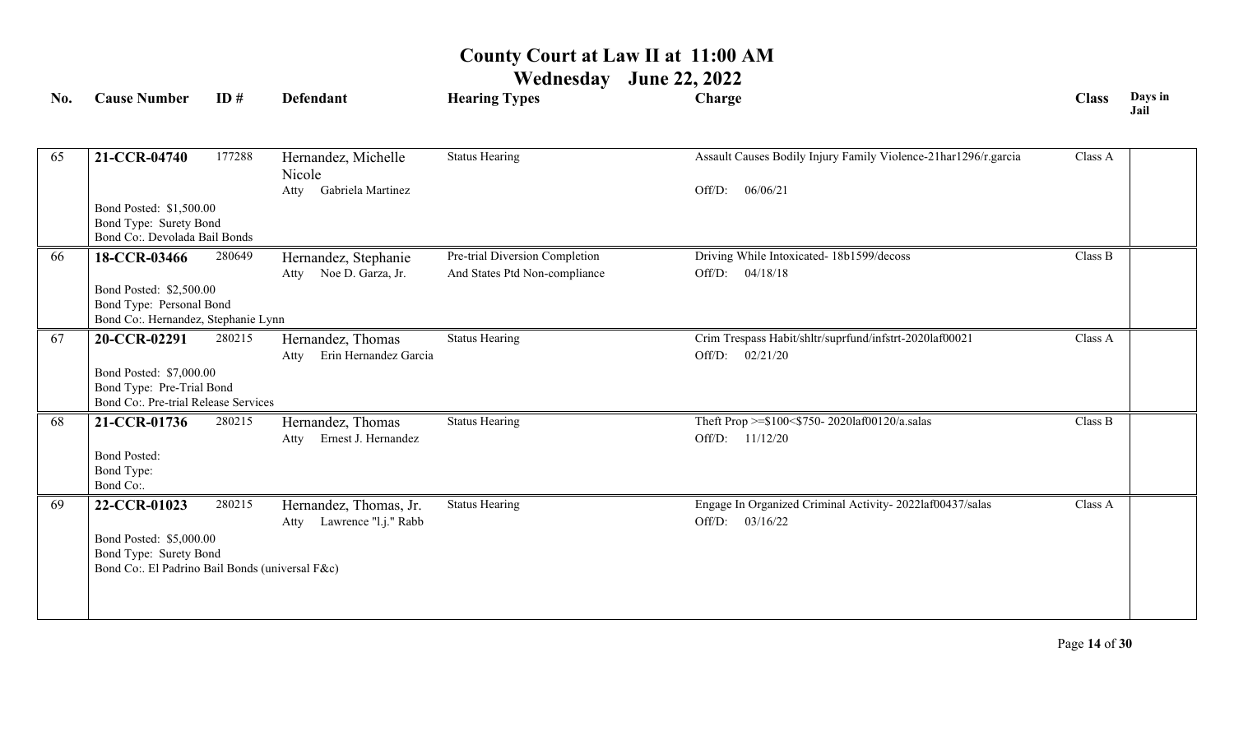| No. | <b>Cause Number</b>                                     | ID#    | <b>Defendant</b>                                       | <b>Hearing Types</b>           | Charge                                                          | <b>Class</b> | Days in<br>Jail |
|-----|---------------------------------------------------------|--------|--------------------------------------------------------|--------------------------------|-----------------------------------------------------------------|--------------|-----------------|
|     |                                                         |        |                                                        |                                |                                                                 |              |                 |
| 65  | 21-CCR-04740                                            | 177288 | Hernandez, Michelle<br>Nicole                          | <b>Status Hearing</b>          | Assault Causes Bodily Injury Family Violence-21har1296/r.garcia | Class A      |                 |
|     |                                                         |        | Gabriela Martinez<br>Atty                              |                                | Off/D:<br>06/06/21                                              |              |                 |
|     | Bond Posted: \$1,500.00                                 |        |                                                        |                                |                                                                 |              |                 |
|     | Bond Type: Surety Bond<br>Bond Co:. Devolada Bail Bonds |        |                                                        |                                |                                                                 |              |                 |
| 66  | 18-CCR-03466                                            | 280649 | Hernandez, Stephanie                                   | Pre-trial Diversion Completion | Driving While Intoxicated- 18b1599/decoss                       | Class B      |                 |
|     |                                                         |        | Noe D. Garza, Jr.<br>Atty                              | And States Ptd Non-compliance  | Off/D: 04/18/18                                                 |              |                 |
|     | Bond Posted: \$2,500.00                                 |        |                                                        |                                |                                                                 |              |                 |
|     | Bond Type: Personal Bond                                |        |                                                        |                                |                                                                 |              |                 |
|     | Bond Co:. Hernandez, Stephanie Lynn                     |        |                                                        |                                |                                                                 |              |                 |
| 67  | 20-CCR-02291                                            | 280215 | Hernandez, Thomas                                      | <b>Status Hearing</b>          | Crim Trespass Habit/shltr/suprfund/infstrt-2020laf00021         | Class A      |                 |
|     | Bond Posted: \$7,000.00                                 |        | Erin Hernandez Garcia<br>Atty                          |                                | Off/D:<br>02/21/20                                              |              |                 |
|     | Bond Type: Pre-Trial Bond                               |        |                                                        |                                |                                                                 |              |                 |
|     | Bond Co: Pre-trial Release Services                     |        |                                                        |                                |                                                                 |              |                 |
| 68  | 21-CCR-01736                                            | 280215 | Hernandez, Thomas                                      | <b>Status Hearing</b>          | Theft Prop >=\$100<\$750-2020laf00120/a.salas                   | Class B      |                 |
|     |                                                         |        | Ernest J. Hernandez<br>Atty                            |                                | Off/D: 11/12/20                                                 |              |                 |
|     | <b>Bond Posted:</b>                                     |        |                                                        |                                |                                                                 |              |                 |
|     | Bond Type:<br>Bond Co:.                                 |        |                                                        |                                |                                                                 |              |                 |
| 69  |                                                         | 280215 |                                                        | <b>Status Hearing</b>          | Engage In Organized Criminal Activity-2022laf00437/salas        | Class A      |                 |
|     | 22-CCR-01023                                            |        | Hernandez, Thomas, Jr.<br>Lawrence "l.j." Rabb<br>Atty |                                | Off/D: 03/16/22                                                 |              |                 |
|     | Bond Posted: \$5,000.00                                 |        |                                                        |                                |                                                                 |              |                 |
|     | Bond Type: Surety Bond                                  |        |                                                        |                                |                                                                 |              |                 |
|     | Bond Co:. El Padrino Bail Bonds (universal F&c)         |        |                                                        |                                |                                                                 |              |                 |
|     |                                                         |        |                                                        |                                |                                                                 |              |                 |
|     |                                                         |        |                                                        |                                |                                                                 |              |                 |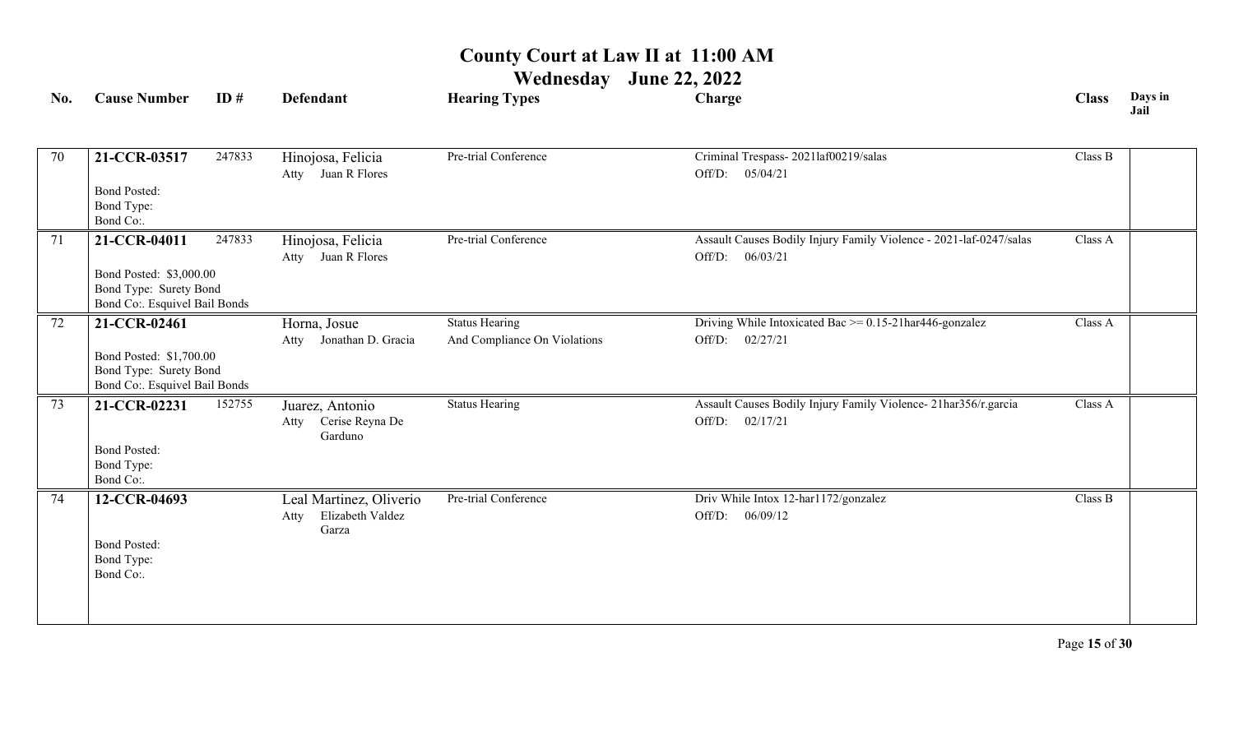| No. | <b>Cause Number</b>                                                                                | ID#    | <b>Defendant</b>                                             | <b>Hearing Types</b>                                  | Charge                                                                                | <b>Class</b> | Days in<br>Jail |
|-----|----------------------------------------------------------------------------------------------------|--------|--------------------------------------------------------------|-------------------------------------------------------|---------------------------------------------------------------------------------------|--------------|-----------------|
| 70  | 21-CCR-03517<br><b>Bond Posted:</b><br>Bond Type:<br>Bond Co:.                                     | 247833 | Hinojosa, Felicia<br>Atty Juan R Flores                      | Pre-trial Conference                                  | Criminal Trespass-2021laf00219/salas<br>Off/D: 05/04/21                               | Class B      |                 |
| 71  | 21-CCR-04011<br>Bond Posted: \$3,000.00<br>Bond Type: Surety Bond<br>Bond Co:. Esquivel Bail Bonds | 247833 | Hinojosa, Felicia<br>Atty Juan R Flores                      | Pre-trial Conference                                  | Assault Causes Bodily Injury Family Violence - 2021-laf-0247/salas<br>Off/D: 06/03/21 | Class A      |                 |
| 72  | 21-CCR-02461<br>Bond Posted: \$1,700.00<br>Bond Type: Surety Bond<br>Bond Co:. Esquivel Bail Bonds |        | Horna, Josue<br>Atty Jonathan D. Gracia                      | <b>Status Hearing</b><br>And Compliance On Violations | Driving While Intoxicated Bac $\ge$ = 0.15-21har446-gonzalez<br>Off/D: 02/27/21       | Class A      |                 |
| 73  | 21-CCR-02231<br><b>Bond Posted:</b><br>Bond Type:<br>Bond Co:.                                     | 152755 | Juarez, Antonio<br>Atty Cerise Reyna De<br>Garduno           | <b>Status Hearing</b>                                 | Assault Causes Bodily Injury Family Violence- 21har356/r.garcia<br>Off/D: 02/17/21    | Class A      |                 |
| 74  | 12-CCR-04693<br><b>Bond Posted:</b><br>Bond Type:<br>Bond Co:.                                     |        | Leal Martinez, Oliverio<br>Elizabeth Valdez<br>Atty<br>Garza | Pre-trial Conference                                  | Driv While Intox 12-har1172/gonzalez<br>Off/D:<br>06/09/12                            | Class B      |                 |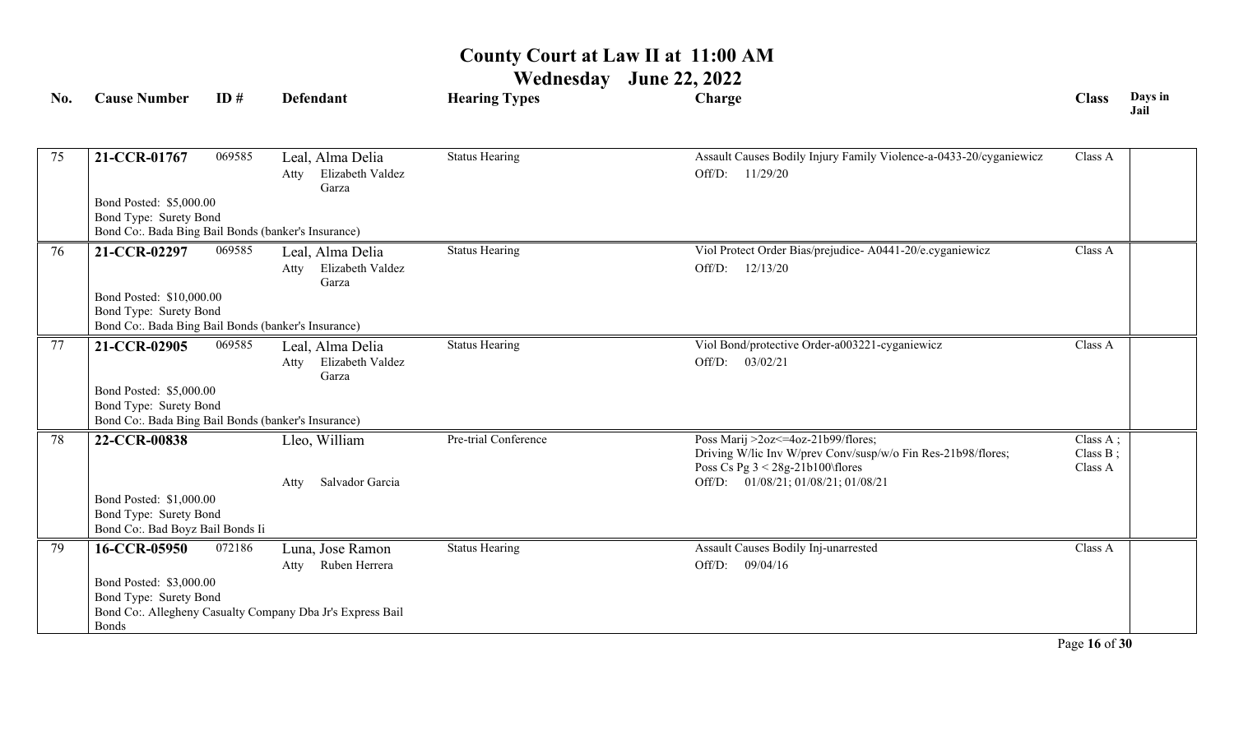**Wednesday June 22, 2022**

|              | ID#          | <b>Defendant</b>                                                                                                                                                                                                                                                       | <b>Hearing Types</b>                                                                                                                                                                                                                                                         | Charge                                                                                               | <b>Class</b>                          | Days in<br>Jail |
|--------------|--------------|------------------------------------------------------------------------------------------------------------------------------------------------------------------------------------------------------------------------------------------------------------------------|------------------------------------------------------------------------------------------------------------------------------------------------------------------------------------------------------------------------------------------------------------------------------|------------------------------------------------------------------------------------------------------|---------------------------------------|-----------------|
| 21-CCR-01767 | 069585       | Leal, Alma Delia<br>Elizabeth Valdez<br>Atty                                                                                                                                                                                                                           | <b>Status Hearing</b>                                                                                                                                                                                                                                                        | Assault Causes Bodily Injury Family Violence-a-0433-20/cyganiewicz<br>11/29/20<br>Off/D:             | Class A                               |                 |
|              |              |                                                                                                                                                                                                                                                                        |                                                                                                                                                                                                                                                                              |                                                                                                      |                                       |                 |
| 21-CCR-02297 | 069585       | Leal, Alma Delia<br>Elizabeth Valdez<br>Atty<br>Garza                                                                                                                                                                                                                  | <b>Status Hearing</b>                                                                                                                                                                                                                                                        | Viol Protect Order Bias/prejudice- A0441-20/e.cyganiewicz<br>Off/D:<br>12/13/20                      | Class A                               |                 |
|              |              |                                                                                                                                                                                                                                                                        |                                                                                                                                                                                                                                                                              |                                                                                                      |                                       |                 |
| 21-CCR-02905 | 069585       | Leal, Alma Delia<br>Elizabeth Valdez<br>Atty<br>Garza                                                                                                                                                                                                                  | <b>Status Hearing</b>                                                                                                                                                                                                                                                        | Viol Bond/protective Order-a003221-cyganiewicz<br>Off/D:<br>03/02/21                                 | Class A                               |                 |
|              |              |                                                                                                                                                                                                                                                                        |                                                                                                                                                                                                                                                                              |                                                                                                      |                                       |                 |
| 22-CCR-00838 |              | Lleo, William                                                                                                                                                                                                                                                          | Pre-trial Conference                                                                                                                                                                                                                                                         | Poss Marij >2oz <= 4oz-21b99/flores;<br>Driving W/lic Inv W/prev Conv/susp/w/o Fin Res-21b98/flores; | Class $A$ ;<br>Class $B$ ;<br>Class A |                 |
|              |              | Salvador Garcia<br>Atty                                                                                                                                                                                                                                                |                                                                                                                                                                                                                                                                              | Off/D: 01/08/21; 01/08/21; 01/08/21                                                                  |                                       |                 |
| 16-CCR-05950 | 072186       | Luna, Jose Ramon<br>Ruben Herrera<br>Atty                                                                                                                                                                                                                              | <b>Status Hearing</b>                                                                                                                                                                                                                                                        | Assault Causes Bodily Inj-unarrested<br>Off/D:<br>09/04/16                                           | Class A                               |                 |
|              | <b>Bonds</b> | Bond Posted: \$5,000.00<br>Bond Type: Surety Bond<br>Bond Posted: \$10,000.00<br>Bond Type: Surety Bond<br>Bond Posted: \$5,000.00<br>Bond Type: Surety Bond<br>Bond Posted: \$1,000.00<br>Bond Type: Surety Bond<br>Bond Posted: \$3,000.00<br>Bond Type: Surety Bond | Garza<br>Bond Co:. Bada Bing Bail Bonds (banker's Insurance)<br>Bond Co:. Bada Bing Bail Bonds (banker's Insurance)<br>Bond Co:. Bada Bing Bail Bonds (banker's Insurance)<br>Bond Co:. Bad Boyz Bail Bonds Ii<br>Bond Co:. Allegheny Casualty Company Dba Jr's Express Bail |                                                                                                      | Poss Cs Pg $3 < 28g-21b100$ flores    |                 |

Page **16** of **30**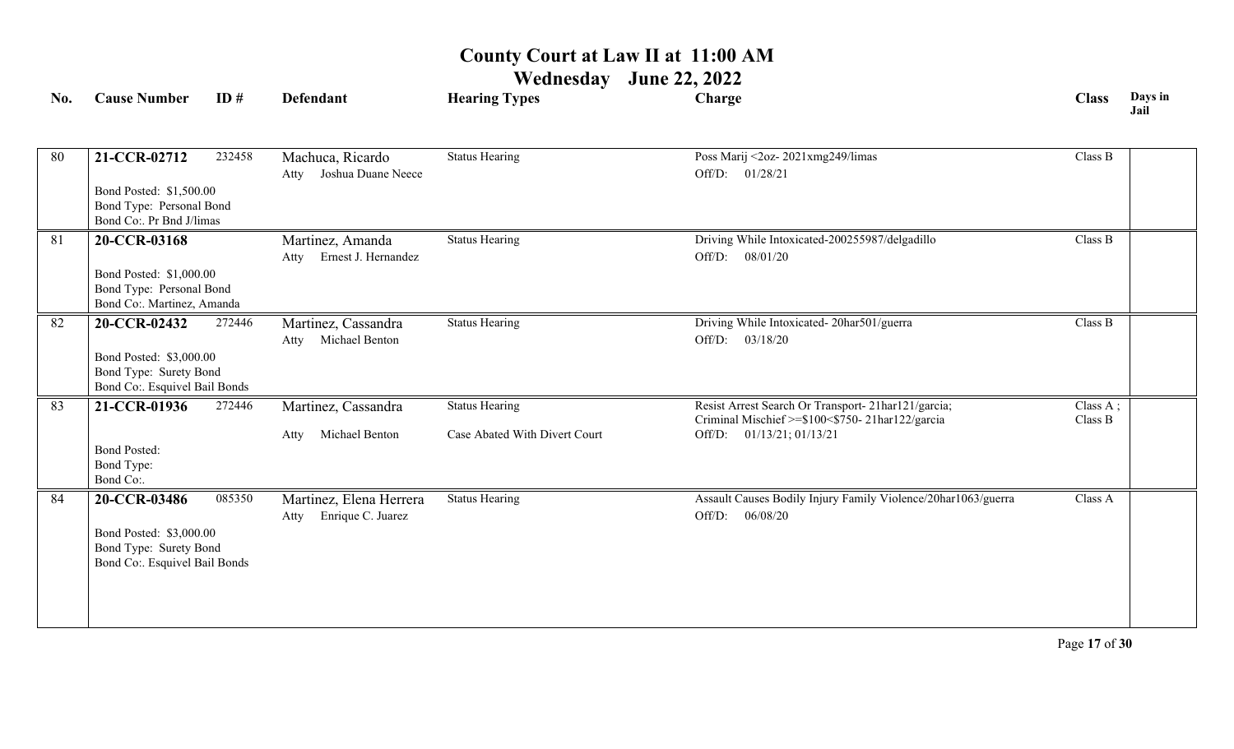| No. | <b>Cause Number</b>                                                                                | ID#    | Defendant                                            | <b>Hearing Types</b>          | Charge                                                                                                 | <b>Class</b>        | Days in<br>Jail |
|-----|----------------------------------------------------------------------------------------------------|--------|------------------------------------------------------|-------------------------------|--------------------------------------------------------------------------------------------------------|---------------------|-----------------|
|     |                                                                                                    |        |                                                      |                               |                                                                                                        |                     |                 |
| 80  | 21-CCR-02712                                                                                       | 232458 | Machuca, Ricardo<br>Atty Joshua Duane Neece          | <b>Status Hearing</b>         | Poss Marij <2oz-2021xmg249/limas<br>Off/D: 01/28/21                                                    | Class B             |                 |
|     | Bond Posted: \$1,500.00<br>Bond Type: Personal Bond<br>Bond Co:. Pr Bnd J/limas                    |        |                                                      |                               |                                                                                                        |                     |                 |
| 81  | 20-CCR-03168                                                                                       |        | Martinez, Amanda                                     | <b>Status Hearing</b>         | Driving While Intoxicated-200255987/delgadillo                                                         | Class B             |                 |
|     | Bond Posted: \$1,000.00<br>Bond Type: Personal Bond<br>Bond Co:. Martinez, Amanda                  |        | Atty Ernest J. Hernandez                             |                               | Off/D: 08/01/20                                                                                        |                     |                 |
| 82  | 20-CCR-02432                                                                                       | 272446 | Martinez, Cassandra<br>Michael Benton<br>Atty        | <b>Status Hearing</b>         | Driving While Intoxicated-20har501/guerra<br>Off/D: 03/18/20                                           | Class B             |                 |
|     | Bond Posted: \$3,000.00<br>Bond Type: Surety Bond<br>Bond Co:. Esquivel Bail Bonds                 |        |                                                      |                               |                                                                                                        |                     |                 |
| 83  | 21-CCR-01936                                                                                       | 272446 | Martinez, Cassandra                                  | <b>Status Hearing</b>         | Resist Arrest Search Or Transport- 21har121/garcia;<br>Criminal Mischief >=\$100<\$750-21har122/garcia | Class A;<br>Class B |                 |
|     | <b>Bond Posted:</b><br>Bond Type:<br>Bond Co:.                                                     |        | Michael Benton<br>Atty                               | Case Abated With Divert Court | 01/13/21; 01/13/21<br>Off/D:                                                                           |                     |                 |
| 84  | 20-CCR-03486<br>Bond Posted: \$3,000.00<br>Bond Type: Surety Bond<br>Bond Co:. Esquivel Bail Bonds | 085350 | Martinez, Elena Herrera<br>Enrique C. Juarez<br>Atty | <b>Status Hearing</b>         | Assault Causes Bodily Injury Family Violence/20har1063/guerra<br>06/08/20<br>Off/D:                    | Class A             |                 |
|     |                                                                                                    |        |                                                      |                               |                                                                                                        |                     |                 |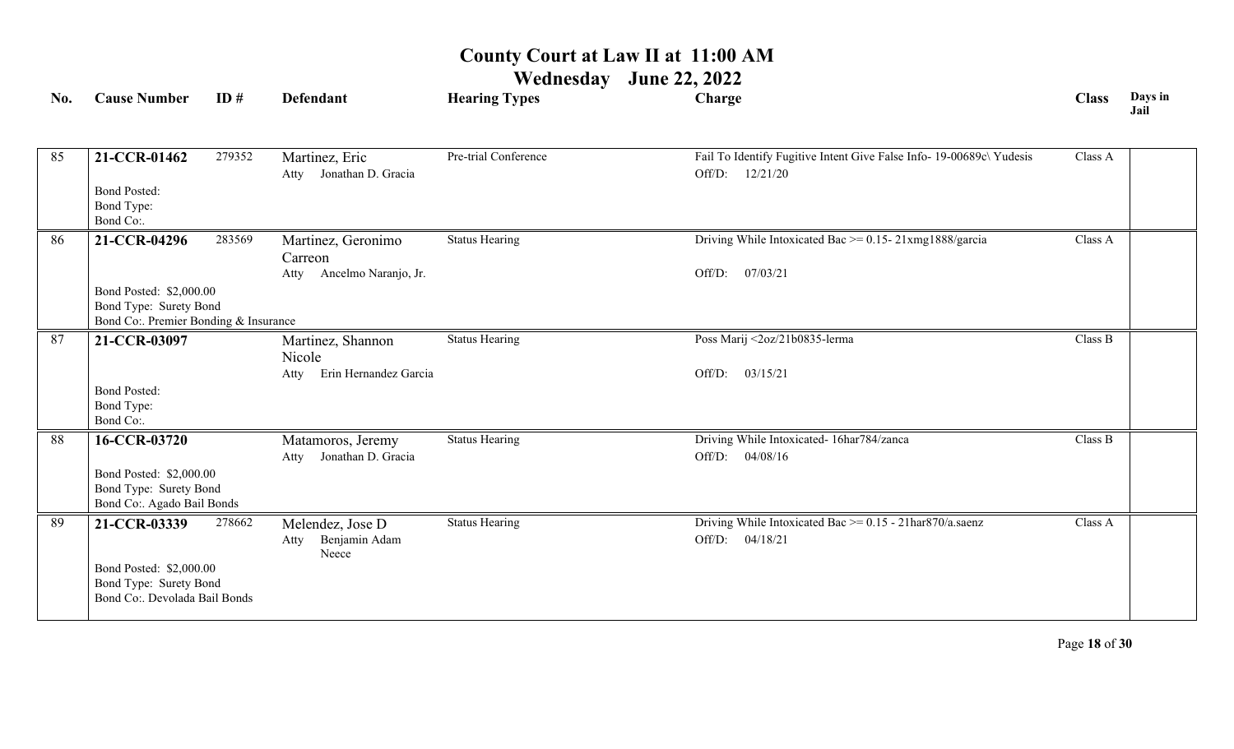| No. | <b>Cause Number</b>                               | ID#    | <b>Defendant</b>                             | <b>Hearing Types</b>  | Charge                                                                                     | <b>Class</b> | Days in<br>Jail |
|-----|---------------------------------------------------|--------|----------------------------------------------|-----------------------|--------------------------------------------------------------------------------------------|--------------|-----------------|
|     |                                                   |        |                                              | Pre-trial Conference  |                                                                                            | Class A      |                 |
| 85  | 21-CCR-01462                                      | 279352 | Martinez, Eric<br>Jonathan D. Gracia<br>Atty |                       | Fail To Identify Fugitive Intent Give False Info- 19-00689c\ Yudesis<br>Off/D:<br>12/21/20 |              |                 |
|     | <b>Bond Posted:</b><br>Bond Type:<br>Bond Co:.    |        |                                              |                       |                                                                                            |              |                 |
| 86  | 21-CCR-04296                                      | 283569 | Martinez, Geronimo                           | <b>Status Hearing</b> | Driving While Intoxicated Bac $\ge$ = 0.15-21xmg1888/garcia                                | Class A      |                 |
|     |                                                   |        | Carreon<br>Ancelmo Naranjo, Jr.              |                       | 07/03/21<br>Off/D:                                                                         |              |                 |
|     | Bond Posted: \$2,000.00                           |        | Atty                                         |                       |                                                                                            |              |                 |
|     | Bond Type: Surety Bond                            |        |                                              |                       |                                                                                            |              |                 |
|     | Bond Co:. Premier Bonding & Insurance             |        |                                              |                       |                                                                                            |              |                 |
| 87  | 21-CCR-03097                                      |        | Martinez, Shannon                            | <b>Status Hearing</b> | Poss Marij <2oz/21b0835-lerma                                                              | Class B      |                 |
|     |                                                   |        | Nicole<br>Erin Hernandez Garcia<br>Atty      |                       | 03/15/21<br>Off/D:                                                                         |              |                 |
|     | <b>Bond Posted:</b>                               |        |                                              |                       |                                                                                            |              |                 |
|     | Bond Type:                                        |        |                                              |                       |                                                                                            |              |                 |
|     | Bond Co:.                                         |        |                                              |                       |                                                                                            |              |                 |
| 88  | 16-CCR-03720                                      |        | Matamoros, Jeremy                            | <b>Status Hearing</b> | Driving While Intoxicated- 16har784/zanca                                                  | Class B      |                 |
|     |                                                   |        | Jonathan D. Gracia<br>Atty                   |                       | 04/08/16<br>Off/D:                                                                         |              |                 |
|     | Bond Posted: \$2,000.00<br>Bond Type: Surety Bond |        |                                              |                       |                                                                                            |              |                 |
|     | Bond Co:. Agado Bail Bonds                        |        |                                              |                       |                                                                                            |              |                 |
| 89  | 21-CCR-03339                                      | 278662 | Melendez, Jose D                             | <b>Status Hearing</b> | Driving While Intoxicated Bac $\ge$ = 0.15 - 21har870/a.saenz                              | Class A      |                 |
|     |                                                   |        | Benjamin Adam<br>Atty<br>Neece               |                       | Off/D:<br>04/18/21                                                                         |              |                 |
|     | Bond Posted: \$2,000.00                           |        |                                              |                       |                                                                                            |              |                 |
|     | Bond Type: Surety Bond                            |        |                                              |                       |                                                                                            |              |                 |
|     | Bond Co:. Devolada Bail Bonds                     |        |                                              |                       |                                                                                            |              |                 |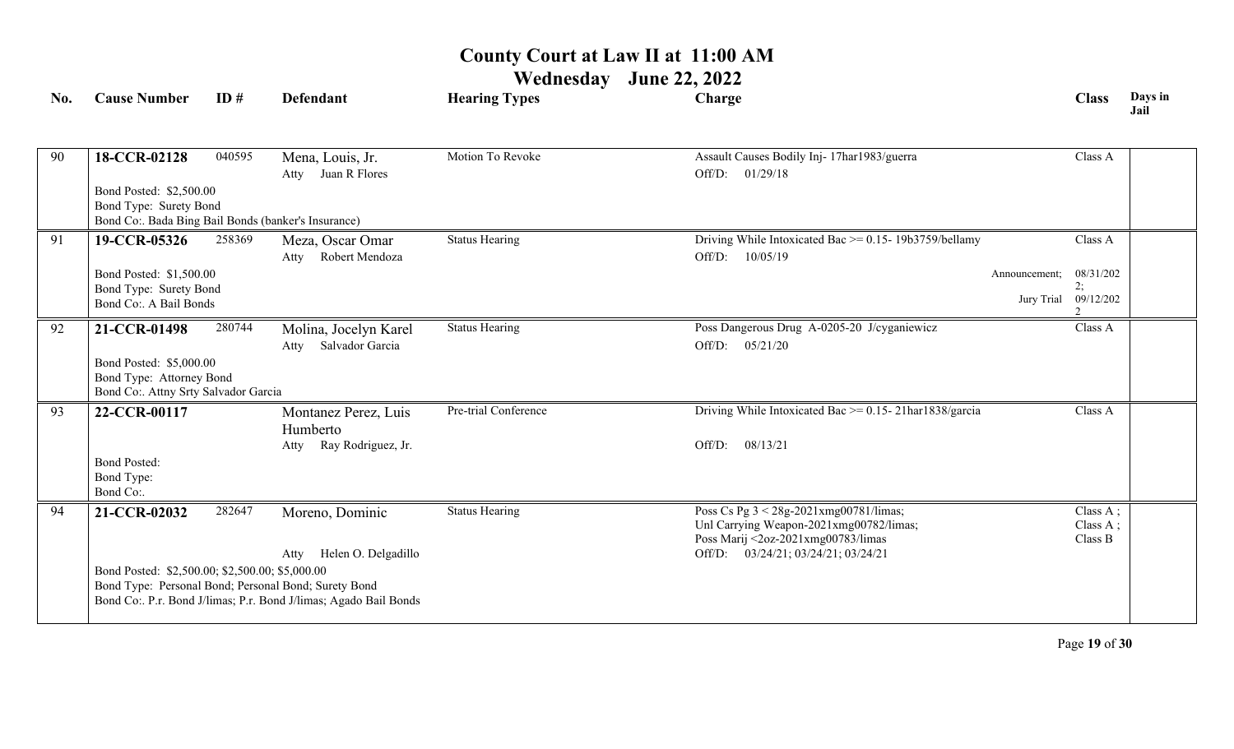| No. | <b>Cause Number</b>                                  | ID#    | <b>Defendant</b>                                                 | <b>Hearing Types</b>  | Charge                                                                        |               | <b>Class</b>               | Days in<br>Jail |
|-----|------------------------------------------------------|--------|------------------------------------------------------------------|-----------------------|-------------------------------------------------------------------------------|---------------|----------------------------|-----------------|
|     |                                                      |        |                                                                  | Motion To Revoke      |                                                                               |               |                            |                 |
| 90  | 18-CCR-02128                                         | 040595 | Mena, Louis, Jr.<br>Juan R Flores<br>Atty                        |                       | Assault Causes Bodily Inj- 17har1983/guerra<br>01/29/18<br>Off/D:             |               | Class A                    |                 |
|     | Bond Posted: \$2,500.00                              |        |                                                                  |                       |                                                                               |               |                            |                 |
|     | Bond Type: Surety Bond                               |        |                                                                  |                       |                                                                               |               |                            |                 |
|     | Bond Co:. Bada Bing Bail Bonds (banker's Insurance)  |        |                                                                  |                       |                                                                               |               |                            |                 |
| 91  | 19-CCR-05326                                         | 258369 | Meza, Oscar Omar                                                 | <b>Status Hearing</b> | Driving While Intoxicated Bac >= 0.15- 19b3759/bellamy                        |               | Class A                    |                 |
|     |                                                      |        | Robert Mendoza<br>Atty                                           |                       | 10/05/19<br>Off/D:                                                            |               |                            |                 |
|     | Bond Posted: \$1,500.00                              |        |                                                                  |                       |                                                                               | Announcement; | 08/31/202                  |                 |
|     | Bond Type: Surety Bond                               |        |                                                                  |                       |                                                                               |               | 2;<br>Jury Trial 09/12/202 |                 |
|     | Bond Co:. A Bail Bonds                               |        |                                                                  |                       |                                                                               |               |                            |                 |
| 92  | 21-CCR-01498                                         | 280744 | Molina, Jocelyn Karel                                            | <b>Status Hearing</b> | Poss Dangerous Drug A-0205-20 J/cyganiewicz                                   |               | Class A                    |                 |
|     |                                                      |        | Salvador Garcia<br>Atty                                          |                       | Off/D:<br>05/21/20                                                            |               |                            |                 |
|     | Bond Posted: \$5,000.00                              |        |                                                                  |                       |                                                                               |               |                            |                 |
|     | Bond Type: Attorney Bond                             |        |                                                                  |                       |                                                                               |               |                            |                 |
|     | Bond Co:. Attny Srty Salvador Garcia                 |        |                                                                  |                       |                                                                               |               |                            |                 |
| 93  | 22-CCR-00117                                         |        | Montanez Perez, Luis                                             | Pre-trial Conference  | Driving While Intoxicated Bac $\ge$ = 0.15-21har1838/garcia                   |               | Class A                    |                 |
|     |                                                      |        | Humberto                                                         |                       |                                                                               |               |                            |                 |
|     |                                                      |        | Ray Rodriguez, Jr.<br>Atty                                       |                       | Off/D:<br>08/13/21                                                            |               |                            |                 |
|     | <b>Bond Posted:</b>                                  |        |                                                                  |                       |                                                                               |               |                            |                 |
|     | Bond Type:                                           |        |                                                                  |                       |                                                                               |               |                            |                 |
|     | Bond Co:.                                            |        |                                                                  |                       |                                                                               |               |                            |                 |
| 94  | 21-CCR-02032                                         | 282647 | Moreno, Dominic                                                  | <b>Status Hearing</b> | Poss Cs Pg 3 < 28g-2021xmg00781/limas;                                        |               | Class A;                   |                 |
|     |                                                      |        |                                                                  |                       | Unl Carrying Weapon-2021xmg00782/limas;<br>Poss Marij <2oz-2021xmg00783/limas |               | Class A;<br>Class B        |                 |
|     |                                                      |        | Helen O. Delgadillo<br>Atty                                      |                       | Off/D: 03/24/21; 03/24/21; 03/24/21                                           |               |                            |                 |
|     | Bond Posted: \$2,500.00; \$2,500.00; \$5,000.00      |        |                                                                  |                       |                                                                               |               |                            |                 |
|     | Bond Type: Personal Bond; Personal Bond; Surety Bond |        |                                                                  |                       |                                                                               |               |                            |                 |
|     |                                                      |        | Bond Co:. P.r. Bond J/limas; P.r. Bond J/limas; Agado Bail Bonds |                       |                                                                               |               |                            |                 |
|     |                                                      |        |                                                                  |                       |                                                                               |               |                            |                 |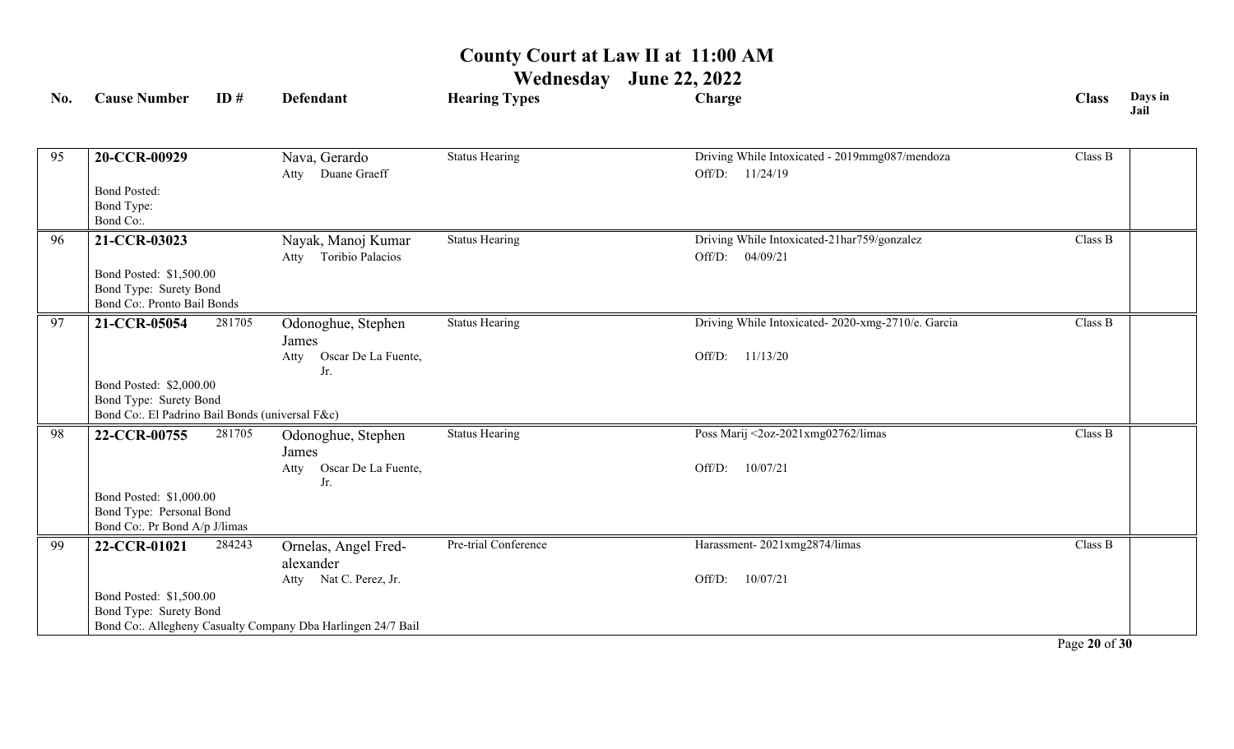### **Wednesday June 22, 2022**

| No. | <b>Cause Number</b>                                   | ID#    | <b>Defendant</b>                                             | <b>Hearing Types</b>  | Charge                                            | <b>Class</b> | Days in<br>Jail |
|-----|-------------------------------------------------------|--------|--------------------------------------------------------------|-----------------------|---------------------------------------------------|--------------|-----------------|
|     |                                                       |        |                                                              |                       |                                                   |              |                 |
| 95  | 20-CCR-00929                                          |        | Nava, Gerardo                                                | <b>Status Hearing</b> | Driving While Intoxicated - 2019mmg087/mendoza    | Class B      |                 |
|     |                                                       |        | Atty Duane Graeff                                            |                       | Off/D: 11/24/19                                   |              |                 |
|     | <b>Bond Posted:</b>                                   |        |                                                              |                       |                                                   |              |                 |
|     | Bond Type:                                            |        |                                                              |                       |                                                   |              |                 |
|     | Bond Co:.                                             |        |                                                              |                       |                                                   |              |                 |
| 96  | 21-CCR-03023                                          |        | Nayak, Manoj Kumar                                           | Status Hearing        | Driving While Intoxicated-21har759/gonzalez       | Class B      |                 |
|     |                                                       |        | Toribio Palacios<br>Atty                                     |                       | Off/D: 04/09/21                                   |              |                 |
|     | Bond Posted: \$1,500.00                               |        |                                                              |                       |                                                   |              |                 |
|     | Bond Type: Surety Bond<br>Bond Co:. Pronto Bail Bonds |        |                                                              |                       |                                                   |              |                 |
| 97  |                                                       |        |                                                              |                       |                                                   | Class B      |                 |
|     | 21-CCR-05054                                          | 281705 | Odonoghue, Stephen                                           | <b>Status Hearing</b> | Driving While Intoxicated-2020-xmg-2710/e. Garcia |              |                 |
|     |                                                       |        | James<br>Oscar De La Fuente,                                 |                       | Off/D:<br>11/13/20                                |              |                 |
|     |                                                       |        | Atty<br>Jr.                                                  |                       |                                                   |              |                 |
|     | Bond Posted: \$2,000.00                               |        |                                                              |                       |                                                   |              |                 |
|     | Bond Type: Surety Bond                                |        |                                                              |                       |                                                   |              |                 |
|     | Bond Co:. El Padrino Bail Bonds (universal F&c)       |        |                                                              |                       |                                                   |              |                 |
| 98  | 22-CCR-00755                                          | 281705 | Odonoghue, Stephen                                           | <b>Status Hearing</b> | Poss Marij <2oz-2021xmg02762/limas                | Class B      |                 |
|     |                                                       |        | James                                                        |                       |                                                   |              |                 |
|     |                                                       |        | Oscar De La Fuente,<br>Atty                                  |                       | 10/07/21<br>Off/D:                                |              |                 |
|     | Bond Posted: \$1,000.00                               |        | Jr.                                                          |                       |                                                   |              |                 |
|     | Bond Type: Personal Bond                              |        |                                                              |                       |                                                   |              |                 |
|     | Bond Co:. Pr Bond A/p J/limas                         |        |                                                              |                       |                                                   |              |                 |
| 99  | 22-CCR-01021                                          | 284243 | Ornelas, Angel Fred-                                         | Pre-trial Conference  | Harassment-2021xmg2874/limas                      | Class B      |                 |
|     |                                                       |        | alexander                                                    |                       |                                                   |              |                 |
|     |                                                       |        | Atty Nat C. Perez, Jr.                                       |                       | 10/07/21<br>Off/D:                                |              |                 |
|     | Bond Posted: \$1,500.00                               |        |                                                              |                       |                                                   |              |                 |
|     | Bond Type: Surety Bond                                |        |                                                              |                       |                                                   |              |                 |
|     |                                                       |        | Bond Co:. Allegheny Casualty Company Dba Harlingen 24/7 Bail |                       |                                                   |              |                 |

Page **20** of **30**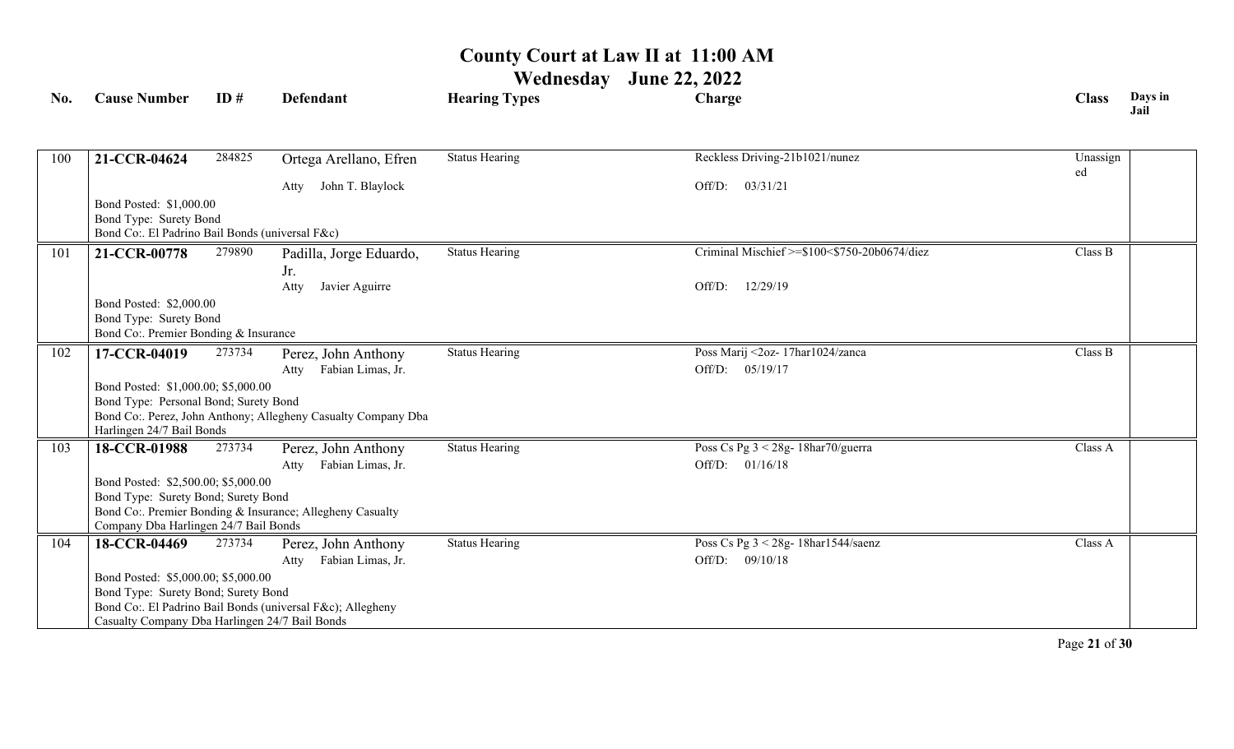**Wednesday June 22, 2022**

| No. | <b>Cause Number</b>                                                          | ID#    | <b>Defendant</b>                                              | <b>Hearing Types</b>  | Charge                                       | <b>Class</b>   | Days in<br>Jail |
|-----|------------------------------------------------------------------------------|--------|---------------------------------------------------------------|-----------------------|----------------------------------------------|----------------|-----------------|
|     |                                                                              |        |                                                               |                       |                                              |                |                 |
| 100 | 21-CCR-04624                                                                 | 284825 | Ortega Arellano, Efren                                        | <b>Status Hearing</b> | Reckless Driving-21b1021/nunez               | Unassign<br>ed |                 |
|     |                                                                              |        | John T. Blaylock<br>Atty                                      |                       | 03/31/21<br>Off/D:                           |                |                 |
|     | Bond Posted: \$1,000.00                                                      |        |                                                               |                       |                                              |                |                 |
|     | Bond Type: Surety Bond                                                       |        |                                                               |                       |                                              |                |                 |
|     | Bond Co:. El Padrino Bail Bonds (universal F&c)                              |        |                                                               |                       | Criminal Mischief >=\$100<\$750-20b0674/diez |                |                 |
| 101 | 21-CCR-00778                                                                 | 279890 | Padilla, Jorge Eduardo,<br>Jr.                                | <b>Status Hearing</b> |                                              | Class B        |                 |
|     |                                                                              |        | Javier Aguirre<br>Atty                                        |                       | 12/29/19<br>Off/D:                           |                |                 |
|     | Bond Posted: \$2,000.00                                                      |        |                                                               |                       |                                              |                |                 |
|     | Bond Type: Surety Bond                                                       |        |                                                               |                       |                                              |                |                 |
|     | Bond Co:. Premier Bonding & Insurance                                        |        |                                                               |                       |                                              |                |                 |
| 102 | 17-CCR-04019                                                                 | 273734 | Perez, John Anthony                                           | <b>Status Hearing</b> | Poss Marij <2oz- 17har1024/zanca             | Class B        |                 |
|     |                                                                              |        | Fabian Limas, Jr.<br>Atty                                     |                       | Off/D: 05/19/17                              |                |                 |
|     | Bond Posted: \$1,000.00; \$5,000.00<br>Bond Type: Personal Bond; Surety Bond |        |                                                               |                       |                                              |                |                 |
|     |                                                                              |        | Bond Co:. Perez, John Anthony; Allegheny Casualty Company Dba |                       |                                              |                |                 |
|     | Harlingen 24/7 Bail Bonds                                                    |        |                                                               |                       |                                              |                |                 |
| 103 | 18-CCR-01988                                                                 | 273734 | Perez, John Anthony                                           | <b>Status Hearing</b> | Poss Cs Pg $3 < 28g - 18har70/guerra$        | Class A        |                 |
|     |                                                                              |        | Fabian Limas, Jr.<br>Atty                                     |                       | 01/16/18<br>Off/D:                           |                |                 |
|     | Bond Posted: \$2,500.00; \$5,000.00                                          |        |                                                               |                       |                                              |                |                 |
|     | Bond Type: Surety Bond; Surety Bond                                          |        | Bond Co:. Premier Bonding & Insurance; Allegheny Casualty     |                       |                                              |                |                 |
|     | Company Dba Harlingen 24/7 Bail Bonds                                        |        |                                                               |                       |                                              |                |                 |
| 104 | 18-CCR-04469                                                                 | 273734 | Perez, John Anthony                                           | <b>Status Hearing</b> | Poss Cs Pg $3 < 28g - 18$ har $1544$ /saenz  | Class A        |                 |
|     |                                                                              |        | Fabian Limas, Jr.<br>Atty                                     |                       | Off/D: 09/10/18                              |                |                 |
|     | Bond Posted: \$5,000.00; \$5,000.00                                          |        |                                                               |                       |                                              |                |                 |
|     | Bond Type: Surety Bond; Surety Bond                                          |        |                                                               |                       |                                              |                |                 |
|     | Casualty Company Dba Harlingen 24/7 Bail Bonds                               |        | Bond Co:. El Padrino Bail Bonds (universal F&c); Allegheny    |                       |                                              |                |                 |
|     |                                                                              |        |                                                               |                       |                                              |                |                 |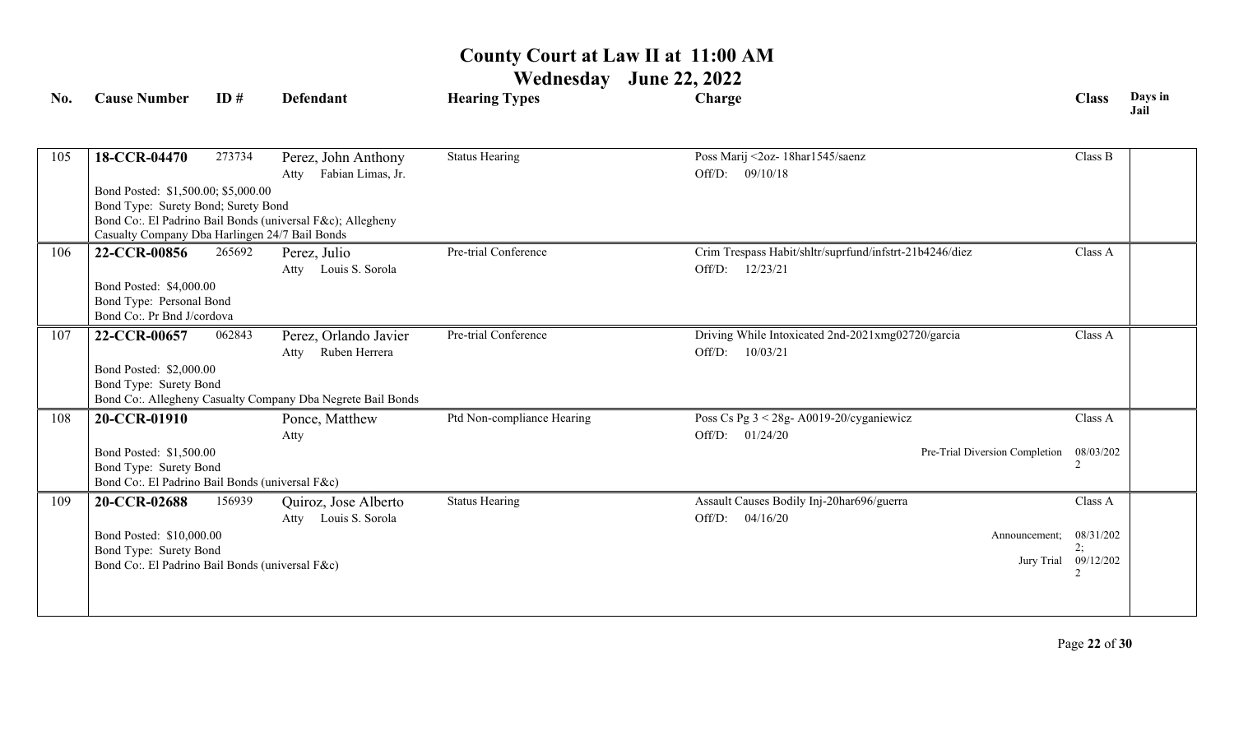| No. | <b>Cause Number</b>                               | ID#    | <b>Defendant</b>                                            | <b>Hearing Types</b>       | Charge                                                  | <b>Class</b>               | Days in<br>Jail |
|-----|---------------------------------------------------|--------|-------------------------------------------------------------|----------------------------|---------------------------------------------------------|----------------------------|-----------------|
|     |                                                   |        |                                                             |                            |                                                         |                            |                 |
| 105 | 18-CCR-04470                                      | 273734 | Perez, John Anthony                                         | <b>Status Hearing</b>      | Poss Marij <2oz- 18har1545/saenz                        | Class B                    |                 |
|     |                                                   |        | Fabian Limas, Jr.<br>Atty                                   |                            | Off/D: 09/10/18                                         |                            |                 |
|     | Bond Posted: \$1,500.00; \$5,000.00               |        |                                                             |                            |                                                         |                            |                 |
|     | Bond Type: Surety Bond; Surety Bond               |        |                                                             |                            |                                                         |                            |                 |
|     | Casualty Company Dba Harlingen 24/7 Bail Bonds    |        | Bond Co:. El Padrino Bail Bonds (universal F&c); Allegheny  |                            |                                                         |                            |                 |
| 106 | 22-CCR-00856                                      | 265692 | Perez, Julio                                                | Pre-trial Conference       | Crim Trespass Habit/shltr/suprfund/infstrt-21b4246/diez | Class A                    |                 |
|     |                                                   |        | Atty Louis S. Sorola                                        |                            | Off/D:<br>12/23/21                                      |                            |                 |
|     | Bond Posted: \$4,000.00                           |        |                                                             |                            |                                                         |                            |                 |
|     | Bond Type: Personal Bond                          |        |                                                             |                            |                                                         |                            |                 |
|     | Bond Co:. Pr Bnd J/cordova                        |        |                                                             |                            |                                                         |                            |                 |
| 107 | 22-CCR-00657                                      | 062843 | Perez, Orlando Javier                                       | Pre-trial Conference       | Driving While Intoxicated 2nd-2021xmg02720/garcia       | Class A                    |                 |
|     |                                                   |        | Ruben Herrera<br>Atty                                       |                            | Off/D:<br>10/03/21                                      |                            |                 |
|     | Bond Posted: \$2,000.00                           |        |                                                             |                            |                                                         |                            |                 |
|     | Bond Type: Surety Bond                            |        | Bond Co:. Allegheny Casualty Company Dba Negrete Bail Bonds |                            |                                                         |                            |                 |
|     |                                                   |        |                                                             | Ptd Non-compliance Hearing | Poss Cs Pg $3 < 28g - A0019 - 20/cy$ ganiewicz          | Class A                    |                 |
| 108 | 20-CCR-01910                                      |        | Ponce, Matthew                                              |                            |                                                         |                            |                 |
|     |                                                   |        | Atty                                                        |                            | Off/D: 01/24/20<br>Pre-Trial Diversion Completion       | 08/03/202                  |                 |
|     | Bond Posted: \$1,500.00<br>Bond Type: Surety Bond |        |                                                             |                            |                                                         |                            |                 |
|     | Bond Co:. El Padrino Bail Bonds (universal F&c)   |        |                                                             |                            |                                                         |                            |                 |
| 109 | 20-CCR-02688                                      | 156939 | Quiroz, Jose Alberto                                        | <b>Status Hearing</b>      | Assault Causes Bodily Inj-20har696/guerra               | Class A                    |                 |
|     |                                                   |        | Louis S. Sorola<br>Atty                                     |                            | Off/D:<br>04/16/20                                      |                            |                 |
|     | Bond Posted: \$10,000.00                          |        |                                                             |                            | Announcement;                                           | 08/31/202                  |                 |
|     | Bond Type: Surety Bond                            |        |                                                             |                            |                                                         | 2:<br>Jury Trial 09/12/202 |                 |
|     | Bond Co:. El Padrino Bail Bonds (universal F&c)   |        |                                                             |                            |                                                         |                            |                 |
|     |                                                   |        |                                                             |                            |                                                         |                            |                 |
|     |                                                   |        |                                                             |                            |                                                         |                            |                 |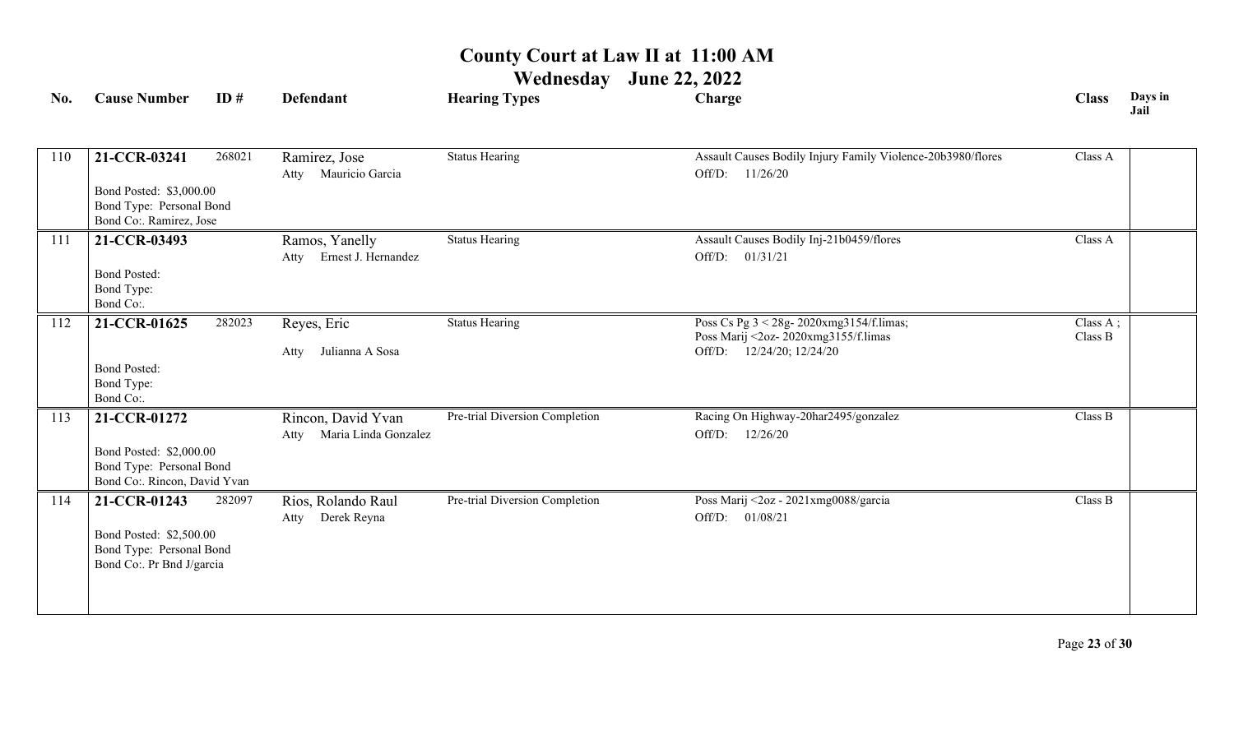| No. | ID#<br><b>Cause Number</b>                          | <b>Defendant</b>                         | <b>Hearing Types</b>           | Charge                                                                           | <b>Class</b> | Days in<br>Jail |
|-----|-----------------------------------------------------|------------------------------------------|--------------------------------|----------------------------------------------------------------------------------|--------------|-----------------|
|     |                                                     |                                          |                                |                                                                                  |              |                 |
| 110 | 268021<br>21-CCR-03241                              | Ramirez, Jose<br>Mauricio Garcia<br>Atty | <b>Status Hearing</b>          | Assault Causes Bodily Injury Family Violence-20b3980/flores<br>Off/D: 11/26/20   | Class A      |                 |
|     | Bond Posted: \$3,000.00                             |                                          |                                |                                                                                  |              |                 |
|     | Bond Type: Personal Bond                            |                                          |                                |                                                                                  |              |                 |
|     | Bond Co:. Ramirez, Jose                             |                                          |                                |                                                                                  |              |                 |
| 111 | 21-CCR-03493                                        | Ramos, Yanelly                           | <b>Status Hearing</b>          | Assault Causes Bodily Inj-21b0459/flores                                         | Class A      |                 |
|     |                                                     | Atty Ernest J. Hernandez                 |                                | Off/D: 01/31/21                                                                  |              |                 |
|     | <b>Bond Posted:</b>                                 |                                          |                                |                                                                                  |              |                 |
|     | Bond Type:<br>Bond Co:.                             |                                          |                                |                                                                                  |              |                 |
|     |                                                     | 282023                                   | <b>Status Hearing</b>          |                                                                                  | Class A;     |                 |
| 112 | 21-CCR-01625                                        | Reyes, Eric                              |                                | Poss Cs Pg 3 < 28g- 2020xmg3154/f.limas;<br>Poss Marij <2oz- 2020xmg3155/f.limas | Class B      |                 |
|     |                                                     | Julianna A Sosa<br>Atty                  |                                | Off/D: 12/24/20; 12/24/20                                                        |              |                 |
|     | <b>Bond Posted:</b>                                 |                                          |                                |                                                                                  |              |                 |
|     | Bond Type:                                          |                                          |                                |                                                                                  |              |                 |
|     | Bond Co:.                                           |                                          |                                |                                                                                  |              |                 |
| 113 | 21-CCR-01272                                        | Rincon, David Yvan                       | Pre-trial Diversion Completion | Racing On Highway-20har2495/gonzalez                                             | Class B      |                 |
|     |                                                     | Atty Maria Linda Gonzalez                |                                | Off/D: 12/26/20                                                                  |              |                 |
|     | Bond Posted: \$2,000.00<br>Bond Type: Personal Bond |                                          |                                |                                                                                  |              |                 |
|     | Bond Co:. Rincon, David Yvan                        |                                          |                                |                                                                                  |              |                 |
| 114 | 21-CCR-01243                                        | 282097<br>Rios, Rolando Raul             | Pre-trial Diversion Completion | Poss Marij <2oz - 2021xmg0088/garcia                                             | Class B      |                 |
|     |                                                     | Atty Derek Reyna                         |                                | Off/D: 01/08/21                                                                  |              |                 |
|     | Bond Posted: \$2,500.00                             |                                          |                                |                                                                                  |              |                 |
|     | Bond Type: Personal Bond                            |                                          |                                |                                                                                  |              |                 |
|     | Bond Co:. Pr Bnd J/garcia                           |                                          |                                |                                                                                  |              |                 |
|     |                                                     |                                          |                                |                                                                                  |              |                 |
|     |                                                     |                                          |                                |                                                                                  |              |                 |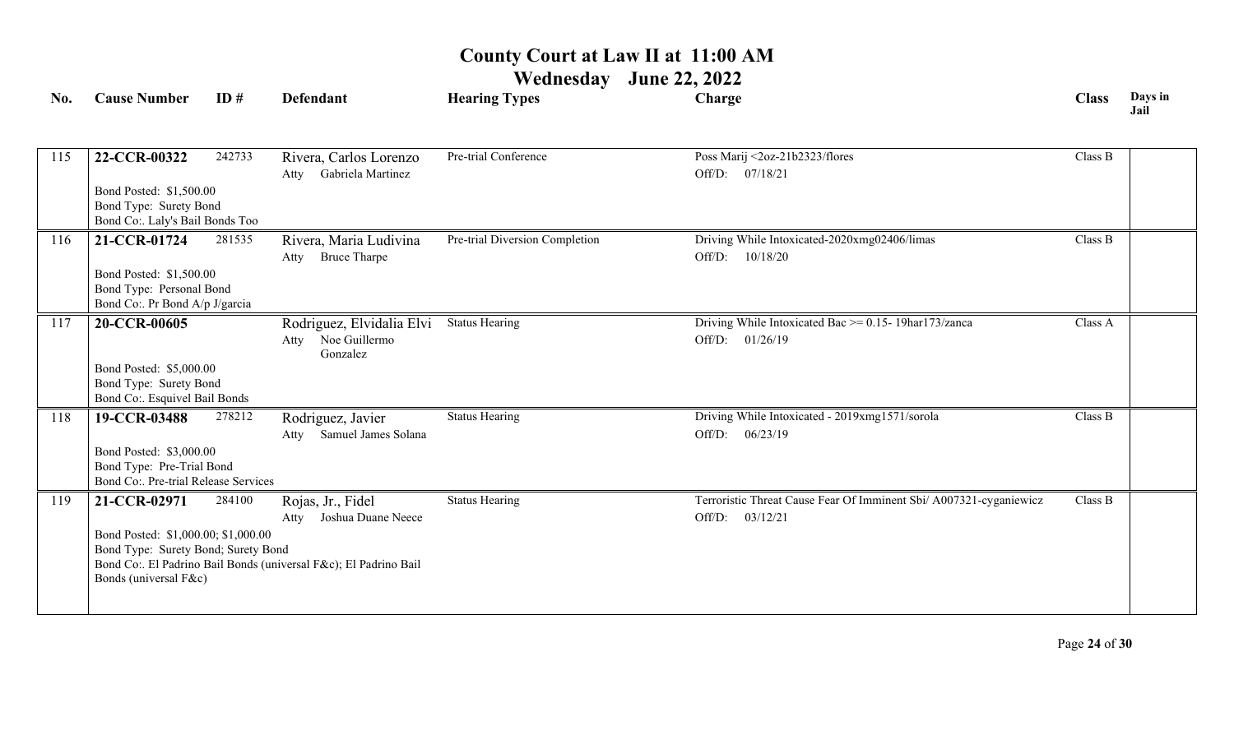| <b>Cause Number</b> | ID#    | <b>Defendant</b>                                                                                                                                                                                                                                                                                                                                     | <b>Hearing Types</b>                                                                                                                                                                                                | Charge                                                                                  | <b>Class</b>    | Days in<br>Jail |
|---------------------|--------|------------------------------------------------------------------------------------------------------------------------------------------------------------------------------------------------------------------------------------------------------------------------------------------------------------------------------------------------------|---------------------------------------------------------------------------------------------------------------------------------------------------------------------------------------------------------------------|-----------------------------------------------------------------------------------------|-----------------|-----------------|
| 22-CCR-00322        | 242733 | Rivera, Carlos Lorenzo                                                                                                                                                                                                                                                                                                                               | Pre-trial Conference                                                                                                                                                                                                | Poss Marij <2oz-21b2323/flores                                                          | Class B         |                 |
|                     |        |                                                                                                                                                                                                                                                                                                                                                      |                                                                                                                                                                                                                     |                                                                                         |                 |                 |
| 21-CCR-01724        | 281535 | Rivera, Maria Ludivina<br><b>Bruce Tharpe</b><br>Atty                                                                                                                                                                                                                                                                                                | Pre-trial Diversion Completion                                                                                                                                                                                      | Driving While Intoxicated-2020xmg02406/limas<br>Off/D: 10/18/20                         | Class B         |                 |
|                     |        |                                                                                                                                                                                                                                                                                                                                                      |                                                                                                                                                                                                                     |                                                                                         |                 |                 |
| 20-CCR-00605        |        | Rodriguez, Elvidalia Elvi<br>Atty Noe Guillermo<br>Gonzalez                                                                                                                                                                                                                                                                                          | <b>Status Hearing</b>                                                                                                                                                                                               | Driving While Intoxicated Bac >= 0.15- 19har173/zanca<br>Off/D: 01/26/19                | Class A         |                 |
|                     |        |                                                                                                                                                                                                                                                                                                                                                      |                                                                                                                                                                                                                     |                                                                                         |                 |                 |
| 19-CCR-03488        | 278212 | Rodriguez, Javier<br>Atty Samuel James Solana                                                                                                                                                                                                                                                                                                        | <b>Status Hearing</b>                                                                                                                                                                                               | Driving While Intoxicated - 2019xmg1571/sorola<br>Off/D: 06/23/19                       | Class B         |                 |
|                     |        |                                                                                                                                                                                                                                                                                                                                                      |                                                                                                                                                                                                                     |                                                                                         |                 |                 |
| 21-CCR-02971        | 284100 | Rojas, Jr., Fidel<br>Joshua Duane Neece<br>Atty                                                                                                                                                                                                                                                                                                      | <b>Status Hearing</b>                                                                                                                                                                                               | Terroristic Threat Cause Fear Of Imminent Sbi/ A007321-cyganiewicz<br>Off/D: $03/12/21$ | Class B         |                 |
|                     |        |                                                                                                                                                                                                                                                                                                                                                      |                                                                                                                                                                                                                     |                                                                                         |                 |                 |
|                     |        | Bond Posted: \$1,500.00<br>Bond Type: Surety Bond<br>Bond Co:. Laly's Bail Bonds Too<br>Bond Posted: \$1,500.00<br>Bond Type: Personal Bond<br>Bond Co:. Pr Bond A/p J/garcia<br>Bond Posted: \$5,000.00<br>Bond Type: Surety Bond<br>Bond Co:. Esquivel Bail Bonds<br>Bond Posted: \$3,000.00<br>Bond Type: Pre-Trial Bond<br>Bonds (universal F&c) | Gabriela Martinez<br>Atty<br>Bond Co:. Pre-trial Release Services<br>Bond Posted: \$1,000.00; \$1,000.00<br>Bond Type: Surety Bond; Surety Bond<br>Bond Co:. El Padrino Bail Bonds (universal F&c); El Padrino Bail |                                                                                         | Off/D: 07/18/21 |                 |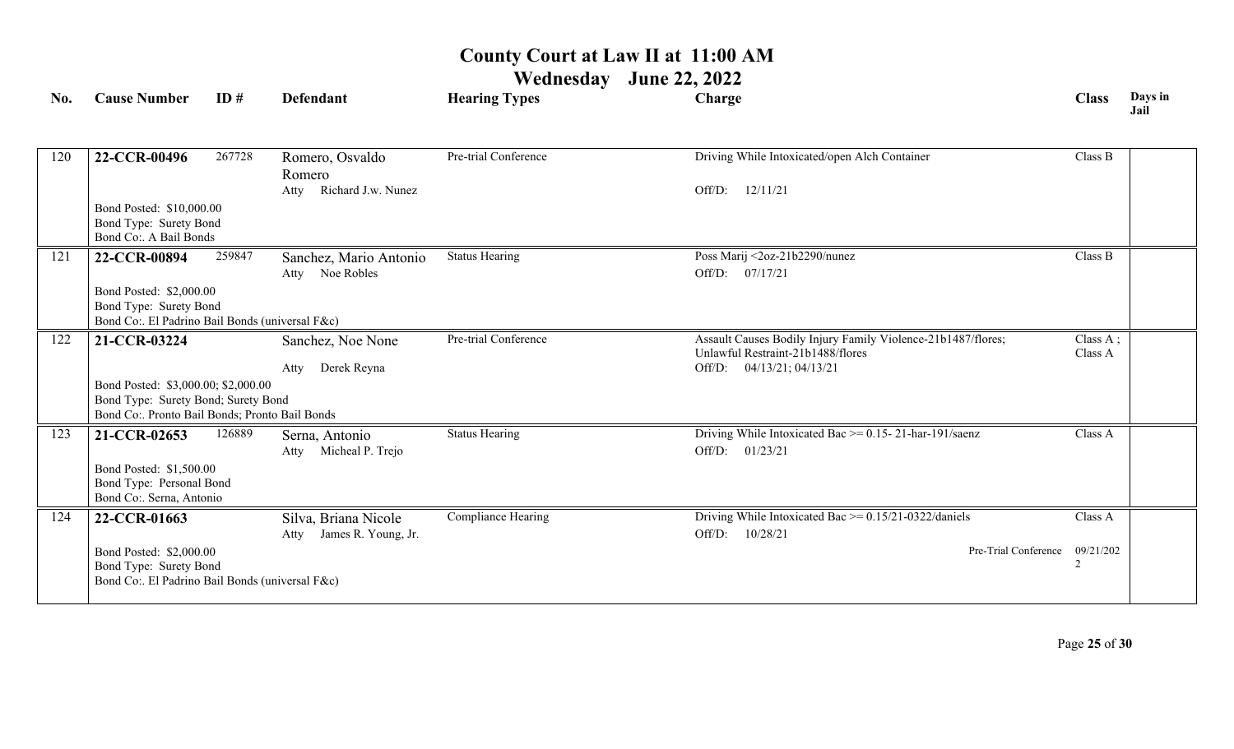| No. | <b>Cause Number</b>                                                        | ID#    | <b>Defendant</b>            | <b>Hearing Types</b>  | Charge                                                       | <b>Class</b>   | Days in<br>Jail |
|-----|----------------------------------------------------------------------------|--------|-----------------------------|-----------------------|--------------------------------------------------------------|----------------|-----------------|
|     |                                                                            |        |                             |                       |                                                              |                |                 |
| 120 | 22-CCR-00496                                                               | 267728 | Romero, Osvaldo<br>Romero   | Pre-trial Conference  | Driving While Intoxicated/open Alch Container                | Class B        |                 |
|     |                                                                            |        | Richard J.w. Nunez<br>Atty  |                       | Off/D:<br>12/11/21                                           |                |                 |
|     | Bond Posted: \$10,000.00                                                   |        |                             |                       |                                                              |                |                 |
|     | Bond Type: Surety Bond                                                     |        |                             |                       |                                                              |                |                 |
|     | Bond Co:. A Bail Bonds                                                     |        |                             |                       |                                                              |                |                 |
| 121 | 22-CCR-00894                                                               | 259847 | Sanchez, Mario Antonio      | <b>Status Hearing</b> | Poss Marij <2oz-21b2290/nunez                                | Class B        |                 |
|     |                                                                            |        | Noe Robles<br>Atty          |                       | 07/17/21<br>Off/D:                                           |                |                 |
|     | Bond Posted: \$2,000.00<br>Bond Type: Surety Bond                          |        |                             |                       |                                                              |                |                 |
|     | Bond Co:. El Padrino Bail Bonds (universal F&c)                            |        |                             |                       |                                                              |                |                 |
| 122 | 21-CCR-03224                                                               |        | Sanchez, Noe None           | Pre-trial Conference  | Assault Causes Bodily Injury Family Violence-21b1487/flores; | Class A;       |                 |
|     |                                                                            |        |                             |                       | Unlawful Restraint-21b1488/flores                            | Class A        |                 |
|     |                                                                            |        | Derek Reyna<br>Atty         |                       | Off/D: 04/13/21; 04/13/21                                    |                |                 |
|     | Bond Posted: \$3,000.00; \$2,000.00<br>Bond Type: Surety Bond; Surety Bond |        |                             |                       |                                                              |                |                 |
|     | Bond Co:. Pronto Bail Bonds; Pronto Bail Bonds                             |        |                             |                       |                                                              |                |                 |
| 123 | 21-CCR-02653                                                               | 126889 | Serna, Antonio              | <b>Status Hearing</b> | Driving While Intoxicated Bac $\ge$ = 0.15-21-har-191/saenz  | Class A        |                 |
|     |                                                                            |        | Micheal P. Trejo<br>Atty    |                       | 01/23/21<br>Off/D:                                           |                |                 |
|     | Bond Posted: \$1,500.00                                                    |        |                             |                       |                                                              |                |                 |
|     | Bond Type: Personal Bond                                                   |        |                             |                       |                                                              |                |                 |
|     | Bond Co:. Serna, Antonio                                                   |        |                             |                       |                                                              |                |                 |
| 124 | 22-CCR-01663                                                               |        | Silva, Briana Nicole        | Compliance Hearing    | Driving While Intoxicated Bac $\ge$ = 0.15/21-0322/daniels   | Class A        |                 |
|     |                                                                            |        | James R. Young, Jr.<br>Atty |                       | Off/D:<br>10/28/21                                           |                |                 |
|     | Bond Posted: \$2,000.00                                                    |        |                             |                       | Pre-Trial Conference                                         | 09/21/202<br>2 |                 |
|     | Bond Type: Surety Bond<br>Bond Co:. El Padrino Bail Bonds (universal F&c)  |        |                             |                       |                                                              |                |                 |
|     |                                                                            |        |                             |                       |                                                              |                |                 |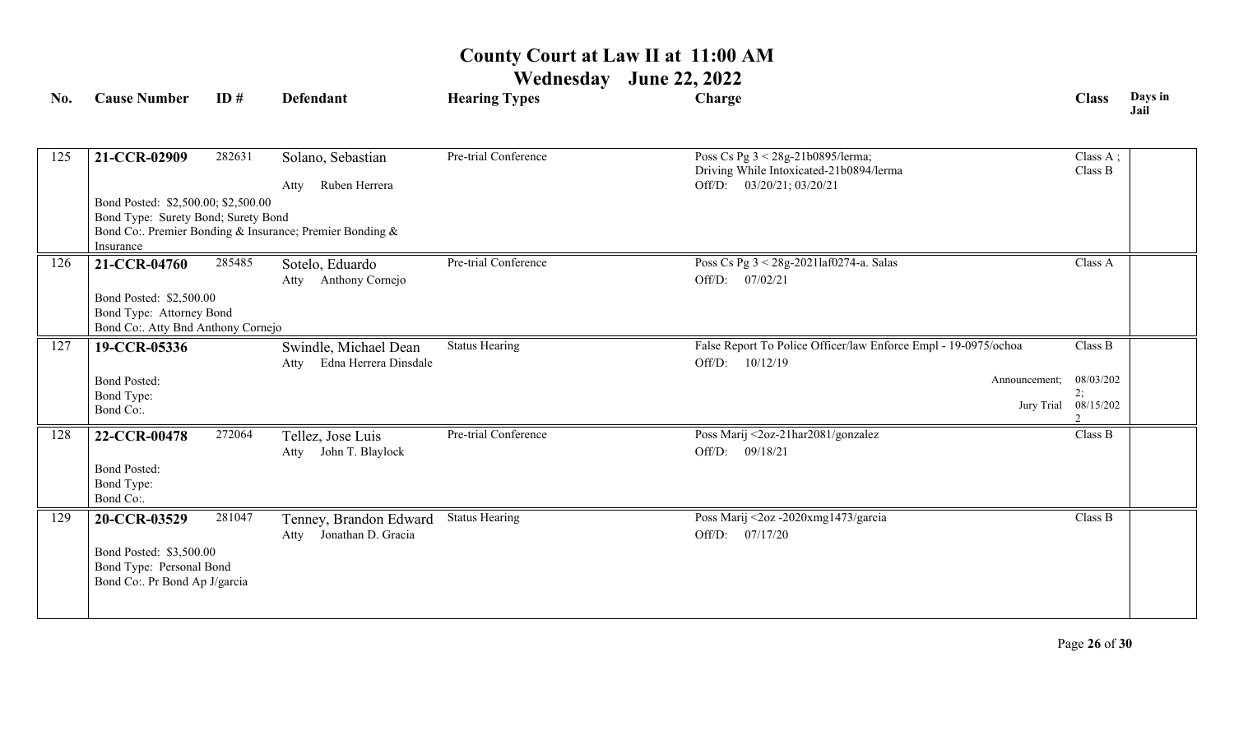### **Wednesday June 22, 2022**

| No. | <b>Cause Number</b>                                                                                       | ID#    | <b>Defendant</b>                                        | <b>Hearing Types</b>  | Charge                                                                                                    | <b>Class</b>                                       | Days in<br>Jail |
|-----|-----------------------------------------------------------------------------------------------------------|--------|---------------------------------------------------------|-----------------------|-----------------------------------------------------------------------------------------------------------|----------------------------------------------------|-----------------|
| 125 | 21-CCR-02909                                                                                              | 282631 | Solano, Sebastian<br>Ruben Herrera<br>Atty              | Pre-trial Conference  | Poss Cs Pg 3 < 28g-21b0895/lerma;<br>Driving While Intoxicated-21b0894/lerma<br>Off/D: 03/20/21; 03/20/21 | Class A;<br>Class B                                |                 |
|     | Bond Posted: \$2,500.00; \$2,500.00<br>Bond Type: Surety Bond; Surety Bond<br>Insurance                   |        | Bond Co: Premier Bonding & Insurance; Premier Bonding & |                       |                                                                                                           |                                                    |                 |
| 126 | 21-CCR-04760<br>Bond Posted: \$2,500.00<br>Bond Type: Attorney Bond<br>Bond Co:. Atty Bnd Anthony Cornejo | 285485 | Sotelo, Eduardo<br>Anthony Cornejo<br>Atty              | Pre-trial Conference  | Poss Cs Pg 3 < 28g-2021laf0274-a. Salas<br>Off/D: $07/02/21$                                              | Class A                                            |                 |
| 127 | 19-CCR-05336<br><b>Bond Posted:</b><br>Bond Type:<br>Bond Co:.                                            |        | Swindle, Michael Dean<br>Edna Herrera Dinsdale<br>Atty  | <b>Status Hearing</b> | False Report To Police Officer/law Enforce Empl - 19-0975/ochoa<br>Off/D: 10/12/19<br>Announcement;       | Class B<br>08/03/202<br>2:<br>Jury Trial 08/15/202 |                 |
| 128 | 22-CCR-00478<br><b>Bond Posted:</b><br>Bond Type:<br>Bond Co:.                                            | 272064 | Tellez, Jose Luis<br>Atty John T. Blaylock              | Pre-trial Conference  | Poss Marij <2oz-21har2081/gonzalez<br>Off/D: 09/18/21                                                     | Class B                                            |                 |
| 129 | 20-CCR-03529<br>Bond Posted: \$3,500.00<br>Bond Type: Personal Bond<br>Bond Co:. Pr Bond Ap J/garcia      | 281047 | Tenney, Brandon Edward<br>Atty Jonathan D. Gracia       | <b>Status Hearing</b> | Poss Marij <2oz -2020xmg1473/garcia<br>Off/D: 07/17/20                                                    | Class B                                            |                 |

Page **26** of **30**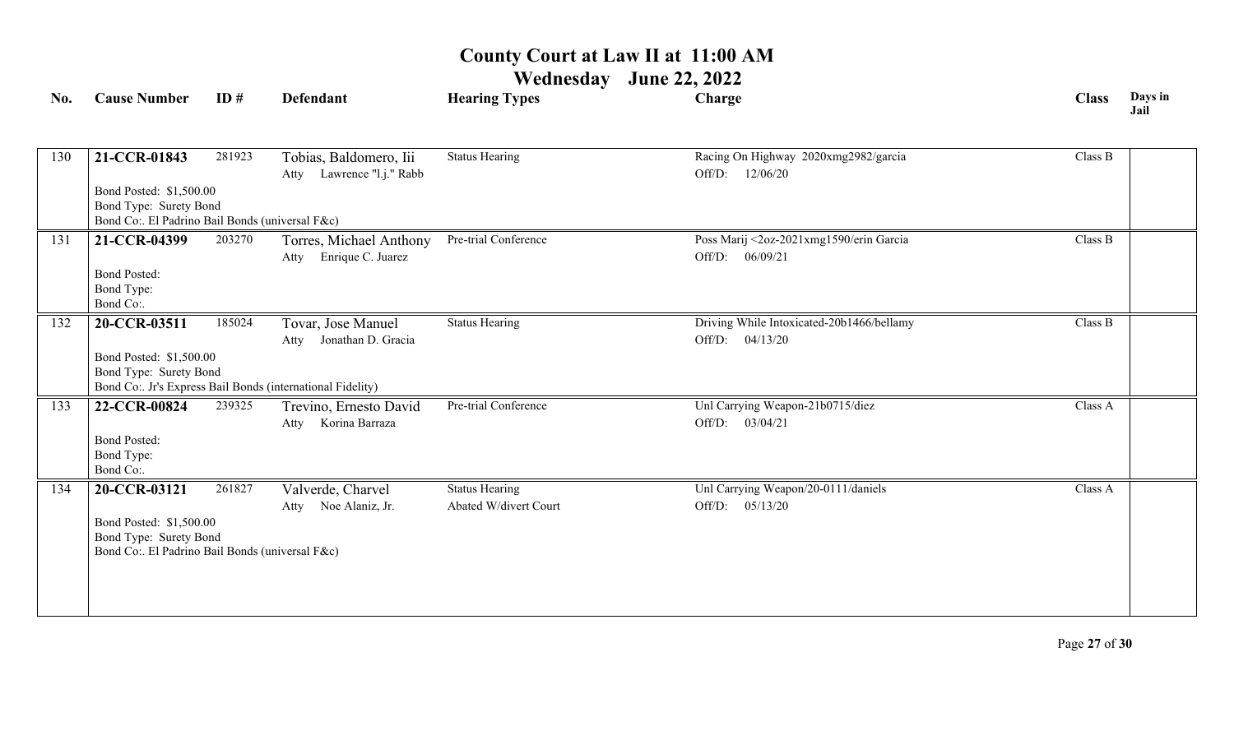| No. | <b>Cause Number</b>                                                                                                  | ID#    | <b>Defendant</b>                                                                                              | <b>Hearing Types</b>                           | Charge                                                          | <b>Class</b> | Days in<br>Jail |
|-----|----------------------------------------------------------------------------------------------------------------------|--------|---------------------------------------------------------------------------------------------------------------|------------------------------------------------|-----------------------------------------------------------------|--------------|-----------------|
| 130 | 21-CCR-01843                                                                                                         | 281923 | Tobias, Baldomero, Iii<br>Lawrence "l.j." Rabb<br>Atty                                                        | <b>Status Hearing</b>                          | Racing On Highway 2020xmg2982/garcia<br>12/06/20<br>Off/D:      | Class B      |                 |
|     | Bond Posted: \$1,500.00<br>Bond Type: Surety Bond<br>Bond Co:. El Padrino Bail Bonds (universal F&c)                 |        |                                                                                                               |                                                |                                                                 |              |                 |
| 131 | 21-CCR-04399<br><b>Bond Posted:</b><br>Bond Type:<br>Bond Co:.                                                       | 203270 | Torres, Michael Anthony<br>Enrique C. Juarez<br>Atty                                                          | Pre-trial Conference                           | Poss Marij <2oz-2021xmg1590/erin Garcia<br>Off/D:<br>06/09/21   | Class B      |                 |
| 132 | 20-CCR-03511<br>Bond Posted: \$1,500.00<br>Bond Type: Surety Bond                                                    | 185024 | Tovar, Jose Manuel<br>Jonathan D. Gracia<br>Atty<br>Bond Co: Jr's Express Bail Bonds (international Fidelity) | <b>Status Hearing</b>                          | Driving While Intoxicated-20b1466/bellamy<br>04/13/20<br>Off/D: | Class B      |                 |
| 133 | 22-CCR-00824<br><b>Bond Posted:</b><br>Bond Type:<br>Bond Co:.                                                       | 239325 | Trevino, Ernesto David<br>Korina Barraza<br>Atty                                                              | Pre-trial Conference                           | Unl Carrying Weapon-21b0715/diez<br>03/04/21<br>Off/D:          | Class A      |                 |
| 134 | 20-CCR-03121<br>Bond Posted: \$1,500.00<br>Bond Type: Surety Bond<br>Bond Co:. El Padrino Bail Bonds (universal F&c) | 261827 | Valverde, Charvel<br>Noe Alaniz, Jr.<br>Atty                                                                  | <b>Status Hearing</b><br>Abated W/divert Court | Unl Carrying Weapon/20-0111/daniels<br>Off/D: $05/13/20$        | Class A      |                 |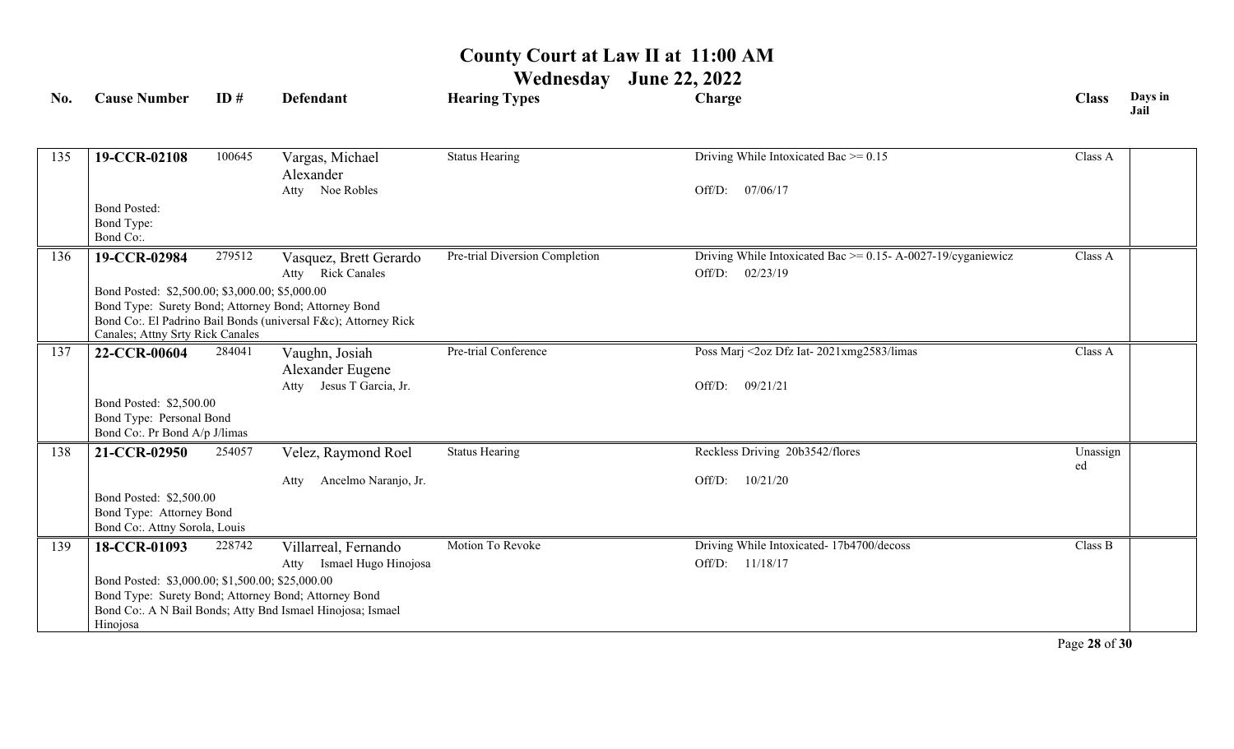# **Wednesday June 22, 2022**

| No. | <b>Cause Number</b>                                                                                      | ID#    | <b>Defendant</b>                                                                                                       | <b>Hearing Types</b>           | Charge                                                            | <b>Class</b> | Days in<br>Jail |
|-----|----------------------------------------------------------------------------------------------------------|--------|------------------------------------------------------------------------------------------------------------------------|--------------------------------|-------------------------------------------------------------------|--------------|-----------------|
|     |                                                                                                          |        |                                                                                                                        |                                |                                                                   |              |                 |
| 135 | 19-CCR-02108                                                                                             | 100645 | Vargas, Michael<br>Alexander                                                                                           | <b>Status Hearing</b>          | Driving While Intoxicated Bac $\geq 0.15$                         | Class A      |                 |
|     |                                                                                                          |        | Atty Noe Robles                                                                                                        |                                | 07/06/17<br>Off/D:                                                |              |                 |
|     | <b>Bond Posted:</b>                                                                                      |        |                                                                                                                        |                                |                                                                   |              |                 |
|     | Bond Type:<br>Bond Co:.                                                                                  |        |                                                                                                                        |                                |                                                                   |              |                 |
| 136 | 19-CCR-02984                                                                                             | 279512 | Vasquez, Brett Gerardo                                                                                                 | Pre-trial Diversion Completion | Driving While Intoxicated Bac $\ge$ = 0.15- A-0027-19/cyganiewicz | Class A      |                 |
|     |                                                                                                          |        | Atty Rick Canales                                                                                                      |                                | Off/D: 02/23/19                                                   |              |                 |
|     | Bond Posted: \$2,500.00; \$3,000.00; \$5,000.00                                                          |        |                                                                                                                        |                                |                                                                   |              |                 |
|     |                                                                                                          |        | Bond Type: Surety Bond; Attorney Bond; Attorney Bond<br>Bond Co:. El Padrino Bail Bonds (universal F&c); Attorney Rick |                                |                                                                   |              |                 |
|     | Canales; Attny Srty Rick Canales                                                                         |        |                                                                                                                        |                                |                                                                   |              |                 |
| 137 | 22-CCR-00604                                                                                             | 284041 | Vaughn, Josiah                                                                                                         | Pre-trial Conference           | Poss Marj <2oz Dfz Iat-2021xmg2583/limas                          | Class A      |                 |
|     |                                                                                                          |        | Alexander Eugene                                                                                                       |                                |                                                                   |              |                 |
|     |                                                                                                          |        | Atty Jesus T Garcia, Jr.                                                                                               |                                | 09/21/21<br>Off/D:                                                |              |                 |
|     | Bond Posted: \$2,500.00<br>Bond Type: Personal Bond                                                      |        |                                                                                                                        |                                |                                                                   |              |                 |
|     | Bond Co:. Pr Bond A/p J/limas                                                                            |        |                                                                                                                        |                                |                                                                   |              |                 |
| 138 | 21-CCR-02950                                                                                             | 254057 | Velez, Raymond Roel                                                                                                    | <b>Status Hearing</b>          | Reckless Driving 20b3542/flores                                   | Unassign     |                 |
|     |                                                                                                          |        | Ancelmo Naranjo, Jr.<br>Atty                                                                                           |                                | 10/21/20<br>Off/D:                                                | ed           |                 |
|     | Bond Posted: \$2,500.00                                                                                  |        |                                                                                                                        |                                |                                                                   |              |                 |
|     | Bond Type: Attorney Bond                                                                                 |        |                                                                                                                        |                                |                                                                   |              |                 |
|     | Bond Co:. Attny Sorola, Louis                                                                            |        |                                                                                                                        |                                |                                                                   |              |                 |
| 139 | 18-CCR-01093                                                                                             | 228742 | Villarreal, Fernando                                                                                                   | Motion To Revoke               | Driving While Intoxicated- 17b4700/decoss                         | Class B      |                 |
|     | Off/D: 11/18/17<br>Ismael Hugo Hinojosa<br>Atty                                                          |        |                                                                                                                        |                                |                                                                   |              |                 |
|     | Bond Posted: \$3,000.00; \$1,500.00; \$25,000.00<br>Bond Type: Surety Bond; Attorney Bond; Attorney Bond |        |                                                                                                                        |                                |                                                                   |              |                 |
|     |                                                                                                          |        | Bond Co:. A N Bail Bonds; Atty Bnd Ismael Hinojosa; Ismael                                                             |                                |                                                                   |              |                 |
|     | Hinojosa                                                                                                 |        |                                                                                                                        |                                |                                                                   |              |                 |

Page **28** of **30**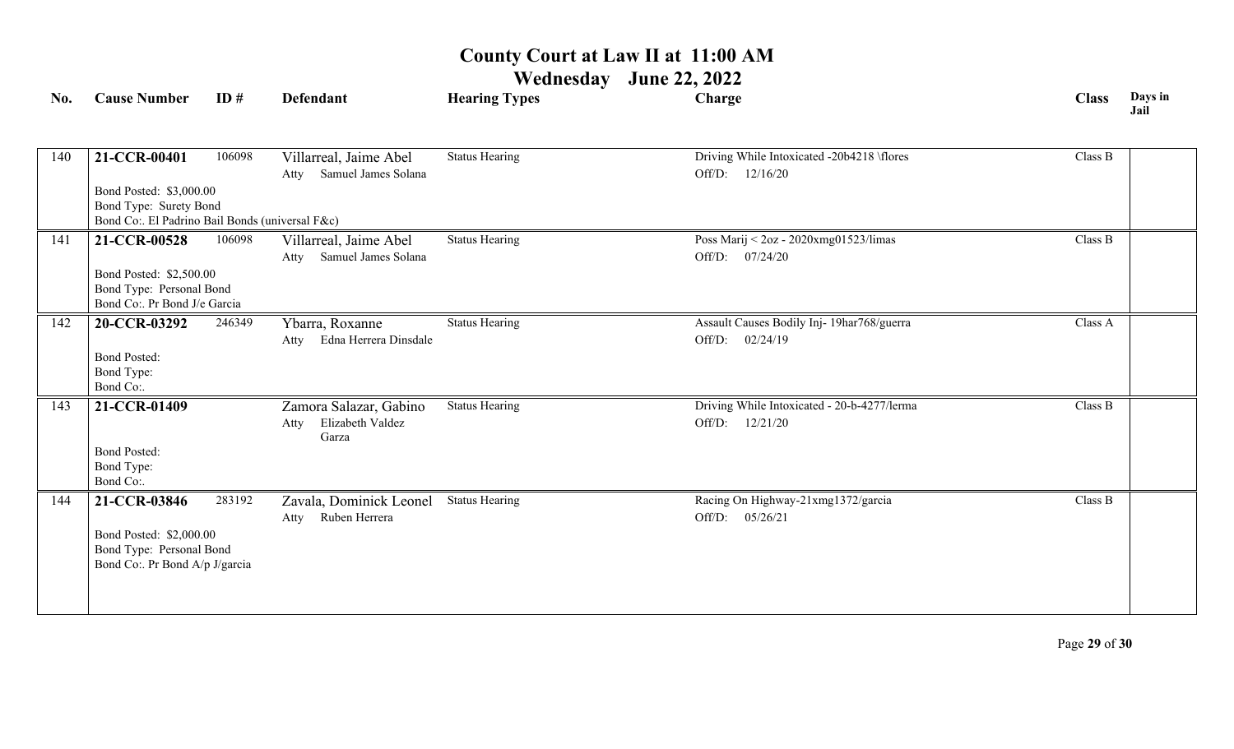| No. | <b>Cause Number</b>                                                                                   | ID#    | <b>Defendant</b>                                            | <b>Hearing Types</b>  | Charge                                                            | <b>Class</b> | Days in<br>Jail |
|-----|-------------------------------------------------------------------------------------------------------|--------|-------------------------------------------------------------|-----------------------|-------------------------------------------------------------------|--------------|-----------------|
| 140 | 21-CCR-00401<br>Bond Posted: \$3,000.00                                                               | 106098 | Villarreal, Jaime Abel<br>Samuel James Solana<br>Atty       | <b>Status Hearing</b> | Driving While Intoxicated -20b4218 \flores<br>12/16/20<br>Off/D:  | Class B      |                 |
|     | Bond Type: Surety Bond<br>Bond Co:. El Padrino Bail Bonds (universal F&c)                             |        |                                                             |                       |                                                                   |              |                 |
| 141 | 21-CCR-00528<br>Bond Posted: \$2,500.00<br>Bond Type: Personal Bond<br>Bond Co:. Pr Bond J/e Garcia   | 106098 | Villarreal, Jaime Abel<br>Samuel James Solana<br>Atty       | <b>Status Hearing</b> | Poss Marij < 2oz - 2020xmg01523/limas<br>Off/D: 07/24/20          | Class B      |                 |
| 142 | 20-CCR-03292<br><b>Bond Posted:</b><br>Bond Type:<br>Bond Co:.                                        | 246349 | Ybarra, Roxanne<br>Edna Herrera Dinsdale<br>Atty            | <b>Status Hearing</b> | Assault Causes Bodily Inj- 19har768/guerra<br>Off/D:<br>02/24/19  | Class A      |                 |
| 143 | 21-CCR-01409<br><b>Bond Posted:</b><br>Bond Type:<br>Bond Co:.                                        |        | Zamora Salazar, Gabino<br>Elizabeth Valdez<br>Atty<br>Garza | <b>Status Hearing</b> | Driving While Intoxicated - 20-b-4277/lerma<br>Off/D:<br>12/21/20 | Class B      |                 |
| 144 | 21-CCR-03846<br>Bond Posted: \$2,000.00<br>Bond Type: Personal Bond<br>Bond Co:. Pr Bond A/p J/garcia | 283192 | Zavala, Dominick Leonel<br>Ruben Herrera<br>Atty            | <b>Status Hearing</b> | Racing On Highway-21xmg1372/garcia<br>Off/D:<br>05/26/21          | Class B      |                 |